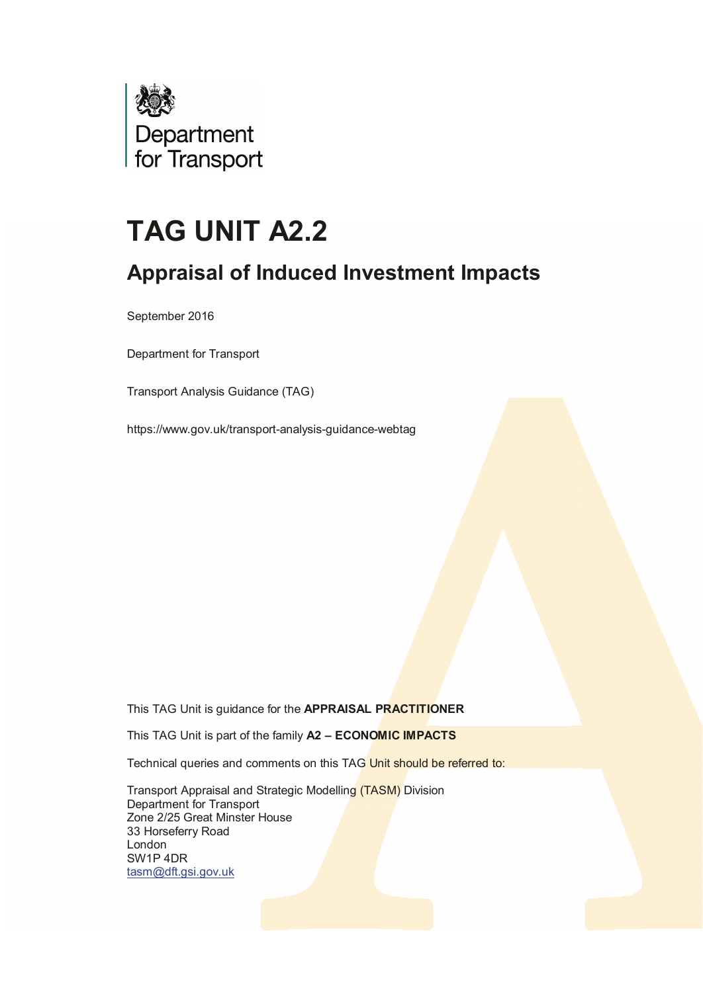

# **TAG UNIT A2.2**

# **Appraisal of Induced Investment Impacts**

September 2016

Department for Transport

Transport Analysis Guidance (TAG)

https://www.gov.uk/transport-analysis-guidance-webtag

This TAG Unit is guidance for the **APPRAISAL PRACTITIONER**

This TAG Unit is part of the family **A2 – ECONOMIC IMPACTS**

Technical queries and comments on this TAG Unit should be referred to:

 Transport Appraisal and Strategic Modelling (TASM) Division Department for Transport Zone 2/25 Great Minster House 33 Horseferry Road London SW1P 4DR [tasm@dft.gsi.gov.uk](mailto:tasm@dft.gsi.gov.uk)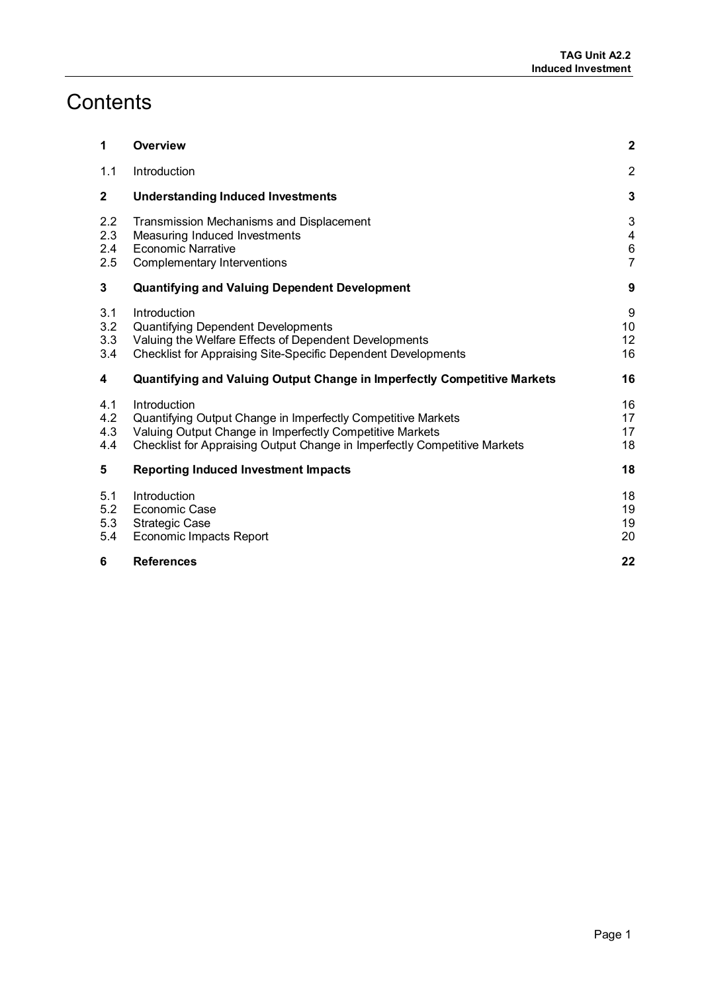# **Contents**

| 1                        | Overview                                                                                                                                                                                                              | $\mathbf{2}$                                                          |
|--------------------------|-----------------------------------------------------------------------------------------------------------------------------------------------------------------------------------------------------------------------|-----------------------------------------------------------------------|
| 1.1                      | Introduction                                                                                                                                                                                                          | $\overline{2}$                                                        |
| $\mathbf{2}$             | <b>Understanding Induced Investments</b>                                                                                                                                                                              | 3                                                                     |
| 2.2<br>2.3<br>2.4<br>2.5 | Transmission Mechanisms and Displacement<br>Measuring Induced Investments<br><b>Economic Narrative</b><br>Complementary Interventions                                                                                 | 3<br>$\overline{\mathbf{4}}$<br>$\begin{array}{c} 6 \\ 7 \end{array}$ |
| 3                        | <b>Quantifying and Valuing Dependent Development</b>                                                                                                                                                                  | $\boldsymbol{9}$                                                      |
| 3.1<br>3.2<br>3.3<br>3.4 | Introduction<br>Quantifying Dependent Developments<br>Valuing the Welfare Effects of Dependent Developments<br><b>Checklist for Appraising Site-Specific Dependent Developments</b>                                   | $\boldsymbol{9}$<br>10<br>12<br>16                                    |
| 4                        | Quantifying and Valuing Output Change in Imperfectly Competitive Markets                                                                                                                                              | 16                                                                    |
| 4.1<br>4.2<br>4.3<br>4.4 | Introduction<br>Quantifying Output Change in Imperfectly Competitive Markets<br>Valuing Output Change in Imperfectly Competitive Markets<br>Checklist for Appraising Output Change in Imperfectly Competitive Markets | 16<br>17<br>17<br>18                                                  |
| 5                        | <b>Reporting Induced Investment Impacts</b>                                                                                                                                                                           | 18                                                                    |
| 5.1<br>5.2<br>5.3<br>5.4 | Introduction<br>Economic Case<br><b>Strategic Case</b><br><b>Economic Impacts Report</b>                                                                                                                              | 18<br>19<br>19<br>20                                                  |
| 6                        | <b>References</b>                                                                                                                                                                                                     | 22                                                                    |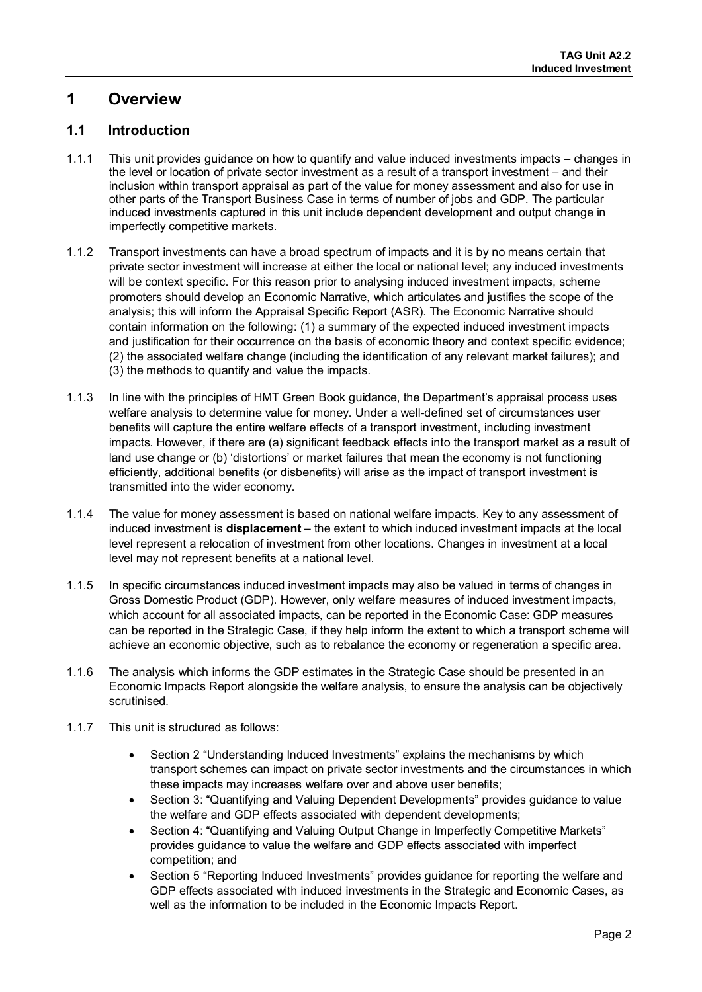# <span id="page-2-0"></span>**1 Overview**

# <span id="page-2-1"></span>**1.1 Introduction**

- 1.1.1 This unit provides guidance on how to quantify and value induced investments impacts changes in the level or location of private sector investment as a result of a transport investment – and their inclusion within transport appraisal as part of the value for money assessment and also for use in other parts of the Transport Business Case in terms of number of jobs and GDP. The particular induced investments captured in this unit include dependent development and output change in imperfectly competitive markets.
- 1.1.2 Transport investments can have a broad spectrum of impacts and it is by no means certain that private sector investment will increase at either the local or national level; any induced investments will be context specific. For this reason prior to analysing induced investment impacts, scheme promoters should develop an Economic Narrative, which articulates and justifies the scope of the analysis; this will inform the Appraisal Specific Report (ASR). The Economic Narrative should contain information on the following: (1) a summary of the expected induced investment impacts and justification for their occurrence on the basis of economic theory and context specific evidence; (2) the associated welfare change (including the identification of any relevant market failures); and (3) the methods to quantify and value the impacts.
- 1.1.3 In line with the principles of HMT Green Book guidance, the Department's appraisal process uses welfare analysis to determine value for money. Under a well-defined set of circumstances user benefits will capture the entire welfare effects of a transport investment, including investment impacts. However, if there are (a) significant feedback effects into the transport market as a result of land use change or (b) 'distortions' or market failures that mean the economy is not functioning efficiently, additional benefits (or disbenefits) will arise as the impact of transport investment is transmitted into the wider economy.
- 1.1.4 The value for money assessment is based on national welfare impacts. Key to any assessment of induced investment is **displacement** – the extent to which induced investment impacts at the local level represent a relocation of investment from other locations. Changes in investment at a local level may not represent benefits at a national level.
- 1.1.5 In specific circumstances induced investment impacts may also be valued in terms of changes in Gross Domestic Product (GDP). However, only welfare measures of induced investment impacts, which account for all associated impacts, can be reported in the Economic Case: GDP measures can be reported in the Strategic Case, if they help inform the extent to which a transport scheme will achieve an economic objective, such as to rebalance the economy or regeneration a specific area.
- 1.1.6 The analysis which informs the GDP estimates in the Strategic Case should be presented in an Economic Impacts Report alongside the welfare analysis, to ensure the analysis can be objectively scrutinised.
- 1.1.7 This unit is structured as follows:
	- Section 2 "Understanding Induced Investments" explains the mechanisms by which transport schemes can impact on private sector investments and the circumstances in which these impacts may increases welfare over and above user benefits;
	- Section 3: "Quantifying and Valuing Dependent Developments" provides guidance to value the welfare and GDP effects associated with dependent developments;
	- Section 4: "Quantifying and Valuing Output Change in Imperfectly Competitive Markets" provides guidance to value the welfare and GDP effects associated with imperfect competition; and
	- Section 5 "Reporting Induced Investments" provides guidance for reporting the welfare and GDP effects associated with induced investments in the Strategic and Economic Cases, as well as the information to be included in the Economic Impacts Report.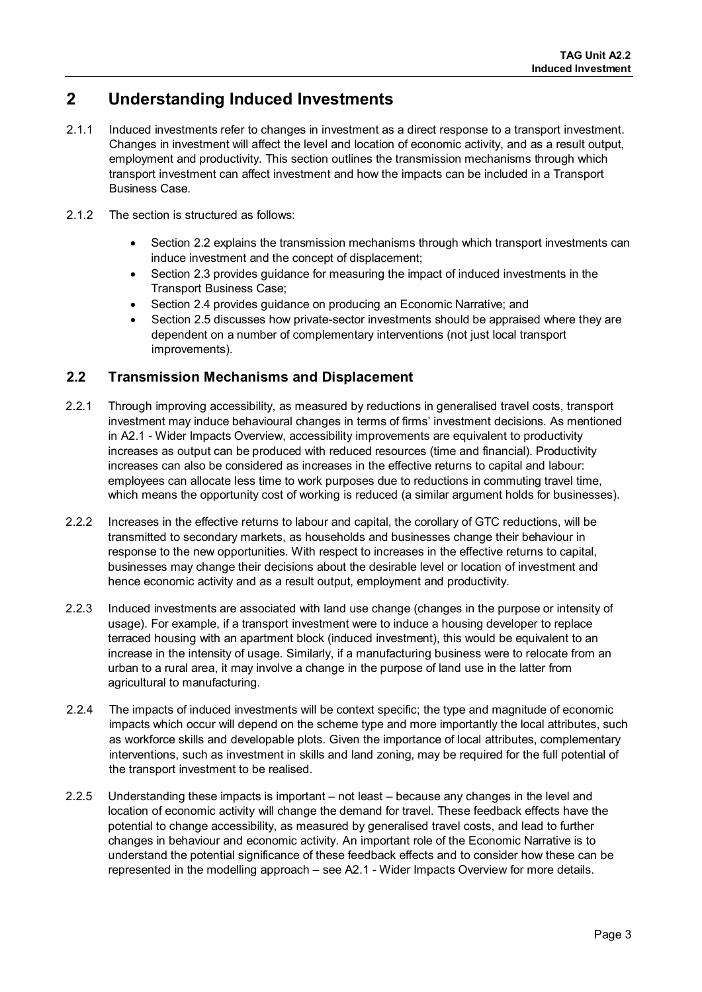# <span id="page-3-0"></span>**2 Understanding Induced Investments**

- 2.1.1 Induced investments refer to changes in investment as a direct response to a transport investment. Changes in investment will affect the level and location of economic activity, and as a result output, employment and productivity. This section outlines the transmission mechanisms through which transport investment can affect investment and how the impacts can be included in a Transport Business Case.
- 2.1.2 The section is structured as follows:
	- Section 2.2 explains the transmission mechanisms through which transport investments can induce investment and the concept of displacement;
	- Section 2.3 provides guidance for measuring the impact of induced investments in the Transport Business Case;
	- Section 2.4 provides guidance on producing an Economic Narrative; and
	- Section 2.5 discusses how private-sector investments should be appraised where they are dependent on a number of complementary interventions (not just local transport improvements).

# <span id="page-3-1"></span>**2.2 Transmission Mechanisms and Displacement**

- 2.2.1 Through improving accessibility, as measured by reductions in generalised travel costs, transport investment may induce behavioural changes in terms of firms' investment decisions. As mentioned in A2.1 - Wider Impacts Overview, accessibility improvements are equivalent to productivity increases as output can be produced with reduced resources (time and financial). Productivity increases can also be considered as increases in the effective returns to capital and labour: employees can allocate less time to work purposes due to reductions in commuting travel time, which means the opportunity cost of working is reduced (a similar argument holds for businesses).
- 2.2.2 Increases in the effective returns to labour and capital, the corollary of GTC reductions, will be transmitted to secondary markets, as households and businesses change their behaviour in response to the new opportunities. With respect to increases in the effective returns to capital, businesses may change their decisions about the desirable level or location of investment and hence economic activity and as a result output, employment and productivity.
- 2.2.3 Induced investments are associated with land use change (changes in the purpose or intensity of usage). For example, if a transport investment were to induce a housing developer to replace terraced housing with an apartment block (induced investment), this would be equivalent to an increase in the intensity of usage. Similarly, if a manufacturing business were to relocate from an urban to a rural area, it may involve a change in the purpose of land use in the latter from agricultural to manufacturing.
- 2.2.4 The impacts of induced investments will be context specific; the type and magnitude of economic impacts which occur will depend on the scheme type and more importantly the local attributes, such as workforce skills and developable plots. Given the importance of local attributes, complementary interventions, such as investment in skills and land zoning, may be required for the full potential of the transport investment to be realised.
- 2.2.5 Understanding these impacts is important not least because any changes in the level and location of economic activity will change the demand for travel. These feedback effects have the potential to change accessibility, as measured by generalised travel costs, and lead to further changes in behaviour and economic activity. An important role of the Economic Narrative is to understand the potential significance of these feedback effects and to consider how these can be represented in the modelling approach – see A2.1 - Wider Impacts Overview for more details.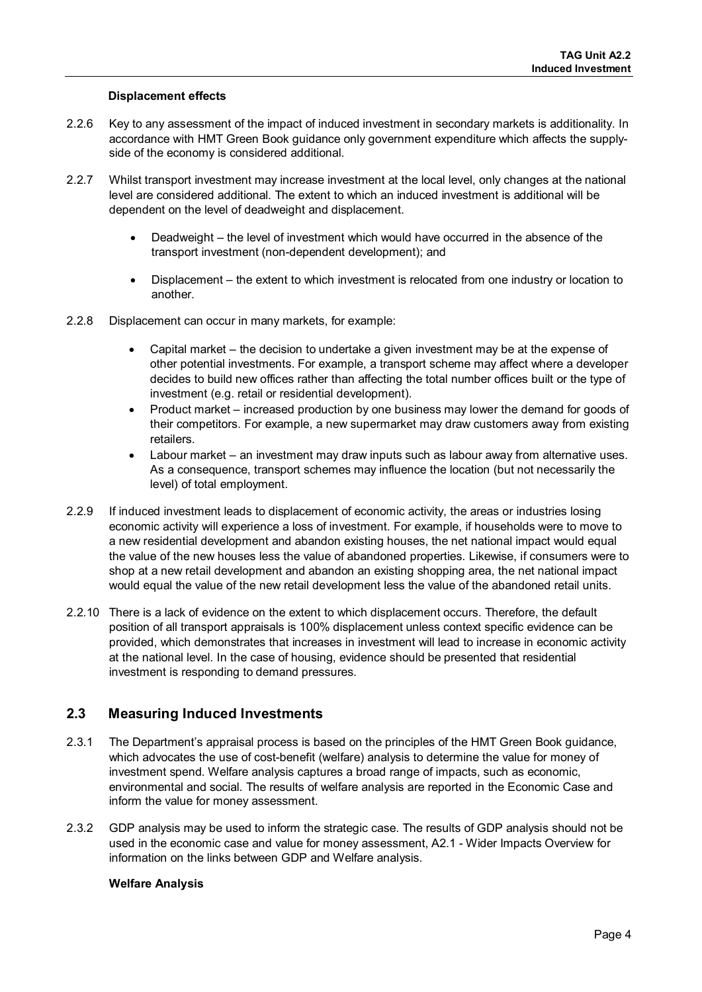#### **Displacement effects**

- 2.2.6 Key to any assessment of the impact of induced investment in secondary markets is additionality. In accordance with HMT Green Book guidance only government expenditure which affects the supplyside of the economy is considered additional.
- 2.2.7 Whilst transport investment may increase investment at the local level, only changes at the national level are considered additional. The extent to which an induced investment is additional will be dependent on the level of deadweight and displacement.
	- Deadweight the level of investment which would have occurred in the absence of the transport investment (non-dependent development); and
	- Displacement the extent to which investment is relocated from one industry or location to another.
- 2.2.8 Displacement can occur in many markets, for example:
	- Capital market the decision to undertake a given investment may be at the expense of other potential investments. For example, a transport scheme may affect where a developer decides to build new offices rather than affecting the total number offices built or the type of investment (e.g. retail or residential development).
	- Product market increased production by one business may lower the demand for goods of their competitors. For example, a new supermarket may draw customers away from existing retailers.
	- Labour market an investment may draw inputs such as labour away from alternative uses. As a consequence, transport schemes may influence the location (but not necessarily the level) of total employment.
- 2.2.9 If induced investment leads to displacement of economic activity, the areas or industries losing economic activity will experience a loss of investment. For example, if households were to move to a new residential development and abandon existing houses, the net national impact would equal the value of the new houses less the value of abandoned properties. Likewise, if consumers were to shop at a new retail development and abandon an existing shopping area, the net national impact would equal the value of the new retail development less the value of the abandoned retail units.
- 2.2.10 There is a lack of evidence on the extent to which displacement occurs. Therefore, the default position of all transport appraisals is 100% displacement unless context specific evidence can be provided, which demonstrates that increases in investment will lead to increase in economic activity at the national level. In the case of housing, evidence should be presented that residential investment is responding to demand pressures.

### <span id="page-4-0"></span>**2.3 Measuring Induced Investments**

- 2.3.1 The Department's appraisal process is based on the principles of the HMT Green Book guidance, which advocates the use of cost-benefit (welfare) analysis to determine the value for money of investment spend. Welfare analysis captures a broad range of impacts, such as economic, environmental and social. The results of welfare analysis are reported in the Economic Case and inform the value for money assessment.
- 2.3.2 GDP analysis may be used to inform the strategic case. The results of GDP analysis should not be used in the economic case and value for money assessment, A2.1 - Wider Impacts Overview for information on the links between GDP and Welfare analysis.

#### **Welfare Analysis**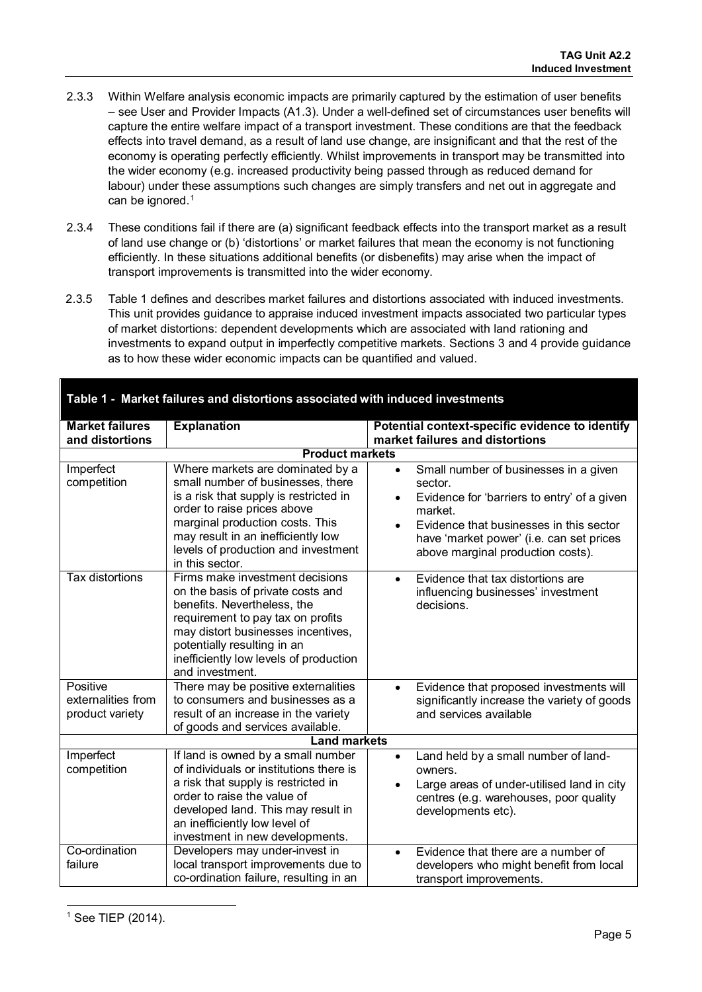- 2.3.3 Within Welfare analysis economic impacts are primarily captured by the estimation of user benefits – see User and Provider Impacts (A1.3). Under a well-defined set of circumstances user benefits will capture the entire welfare impact of a transport investment. These conditions are that the feedback effects into travel demand, as a result of land use change, are insignificant and that the rest of the economy is operating perfectly efficiently. Whilst improvements in transport may be transmitted into the wider economy (e.g. increased productivity being passed through as reduced demand for labour) under these assumptions such changes are simply transfers and net out in aggregate and can be ignored.<sup>1</sup>
- 2.3.4 These conditions fail if there are (a) significant feedback effects into the transport market as a result of land use change or (b) 'distortions' or market failures that mean the economy is not functioning efficiently. In these situations additional benefits (or disbenefits) may arise when the impact of transport improvements is transmitted into the wider economy.
- 2.3.5 Table 1 defines and describes market failures and distortions associated with induced investments. This unit provides guidance to appraise induced investment impacts associated two particular types of market distortions: dependent developments which are associated with land rationing and investments to expand output in imperfectly competitive markets. Sections 3 and 4 provide guidance as to how these wider economic impacts can be quantified and valued.

| <b>Market failures</b>                            |                                                                                                                                                                                                                                                                                   |                                                                                                                                                                                                                                                                               |  |
|---------------------------------------------------|-----------------------------------------------------------------------------------------------------------------------------------------------------------------------------------------------------------------------------------------------------------------------------------|-------------------------------------------------------------------------------------------------------------------------------------------------------------------------------------------------------------------------------------------------------------------------------|--|
| and distortions                                   | <b>Explanation</b>                                                                                                                                                                                                                                                                | Potential context-specific evidence to identify<br>market failures and distortions                                                                                                                                                                                            |  |
| <b>Product markets</b>                            |                                                                                                                                                                                                                                                                                   |                                                                                                                                                                                                                                                                               |  |
| Imperfect<br>competition                          | Where markets are dominated by a<br>small number of businesses, there<br>is a risk that supply is restricted in<br>order to raise prices above<br>marginal production costs. This<br>may result in an inefficiently low<br>levels of production and investment<br>in this sector. | Small number of businesses in a given<br>$\bullet$<br>sector.<br>Evidence for 'barriers to entry' of a given<br>$\bullet$<br>market.<br>Evidence that businesses in this sector<br>$\bullet$<br>have 'market power' (i.e. can set prices<br>above marginal production costs). |  |
| <b>Tax distortions</b>                            | Firms make investment decisions<br>on the basis of private costs and<br>benefits. Nevertheless, the<br>requirement to pay tax on profits<br>may distort businesses incentives,<br>potentially resulting in an<br>inefficiently low levels of production<br>and investment.        | Evidence that tax distortions are<br>$\bullet$<br>influencing businesses' investment<br>decisions.                                                                                                                                                                            |  |
| Positive<br>externalities from<br>product variety | There may be positive externalities<br>to consumers and businesses as a<br>result of an increase in the variety<br>of goods and services available.                                                                                                                               | Evidence that proposed investments will<br>$\bullet$<br>significantly increase the variety of goods<br>and services available                                                                                                                                                 |  |
| <b>Land markets</b>                               |                                                                                                                                                                                                                                                                                   |                                                                                                                                                                                                                                                                               |  |
| Imperfect<br>competition                          | If land is owned by a small number<br>of individuals or institutions there is<br>a risk that supply is restricted in<br>order to raise the value of<br>developed land. This may result in<br>an inefficiently low level of<br>investment in new developments.                     | Land held by a small number of land-<br>$\bullet$<br>owners.<br>Large areas of under-utilised land in city<br>centres (e.g. warehouses, poor quality<br>developments etc).                                                                                                    |  |
| Co-ordination<br>failure                          | Developers may under-invest in<br>local transport improvements due to<br>co-ordination failure, resulting in an                                                                                                                                                                   | Evidence that there are a number of<br>$\bullet$<br>developers who might benefit from local<br>transport improvements.                                                                                                                                                        |  |

#### **Table 1 - Market failures and distortions associated with induced investments**

<span id="page-5-0"></span> $\overline{a}$  $1$  See TIEP (2014).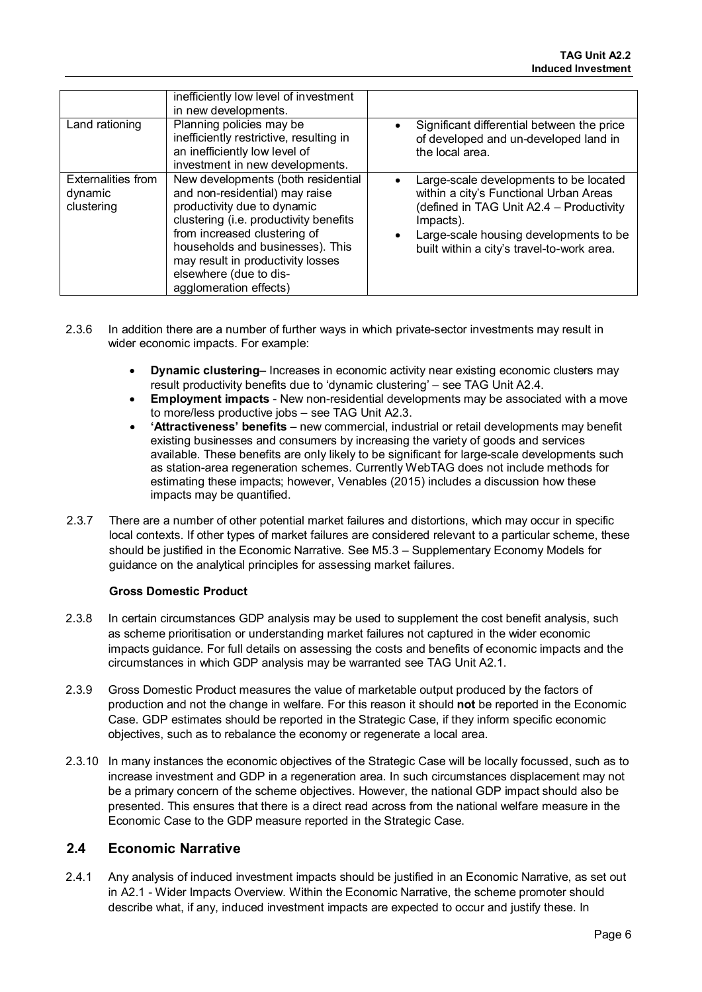|                                                    | inefficiently low level of investment<br>in new developments.                                                                                                                                                                                                                                              |                                                                                                                                                                                                                                   |
|----------------------------------------------------|------------------------------------------------------------------------------------------------------------------------------------------------------------------------------------------------------------------------------------------------------------------------------------------------------------|-----------------------------------------------------------------------------------------------------------------------------------------------------------------------------------------------------------------------------------|
| Land rationing                                     | Planning policies may be<br>inefficiently restrictive, resulting in<br>an inefficiently low level of<br>investment in new developments.                                                                                                                                                                    | Significant differential between the price<br>٠<br>of developed and un-developed land in<br>the local area.                                                                                                                       |
| <b>Externalities from</b><br>dynamic<br>clustering | New developments (both residential<br>and non-residential) may raise<br>productivity due to dynamic<br>clustering (i.e. productivity benefits<br>from increased clustering of<br>households and businesses). This<br>may result in productivity losses<br>elsewhere (due to dis-<br>agglomeration effects) | Large-scale developments to be located<br>within a city's Functional Urban Areas<br>(defined in TAG Unit A2.4 - Productivity<br>Impacts).<br>Large-scale housing developments to be<br>built within a city's travel-to-work area. |

- 2.3.6 In addition there are a number of further ways in which private-sector investments may result in wider economic impacts. For example:
	- **Dynamic clustering** Increases in economic activity near existing economic clusters may result productivity benefits due to 'dynamic clustering' – see TAG Unit A2.4.
	- **Employment impacts** New non-residential developments may be associated with a move to more/less productive jobs – see TAG Unit A2.3.
	- **'Attractiveness' benefits** new commercial, industrial or retail developments may benefit existing businesses and consumers by increasing the variety of goods and services available. These benefits are only likely to be significant for large-scale developments such as station-area regeneration schemes. Currently WebTAG does not include methods for estimating these impacts; however, Venables (2015) includes a discussion how these impacts may be quantified.
- 2.3.7 There are a number of other potential market failures and distortions, which may occur in specific local contexts. If other types of market failures are considered relevant to a particular scheme, these should be justified in the Economic Narrative. See M5.3 – Supplementary Economy Models for guidance on the analytical principles for assessing market failures.

### **Gross Domestic Product**

- 2.3.8 In certain circumstances GDP analysis may be used to supplement the cost benefit analysis, such as scheme prioritisation or understanding market failures not captured in the wider economic impacts guidance. For full details on assessing the costs and benefits of economic impacts and the circumstances in which GDP analysis may be warranted see TAG Unit A2.1.
- 2.3.9 Gross Domestic Product measures the value of marketable output produced by the factors of production and not the change in welfare. For this reason it should **not** be reported in the Economic Case. GDP estimates should be reported in the Strategic Case, if they inform specific economic objectives, such as to rebalance the economy or regenerate a local area.
- 2.3.10 In many instances the economic objectives of the Strategic Case will be locally focussed, such as to increase investment and GDP in a regeneration area. In such circumstances displacement may not be a primary concern of the scheme objectives. However, the national GDP impact should also be presented. This ensures that there is a direct read across from the national welfare measure in the Economic Case to the GDP measure reported in the Strategic Case.

### <span id="page-6-0"></span>**2.4 Economic Narrative**

2.4.1 Any analysis of induced investment impacts should be justified in an Economic Narrative, as set out in A2.1 - Wider Impacts Overview. Within the Economic Narrative, the scheme promoter should describe what, if any, induced investment impacts are expected to occur and justify these. In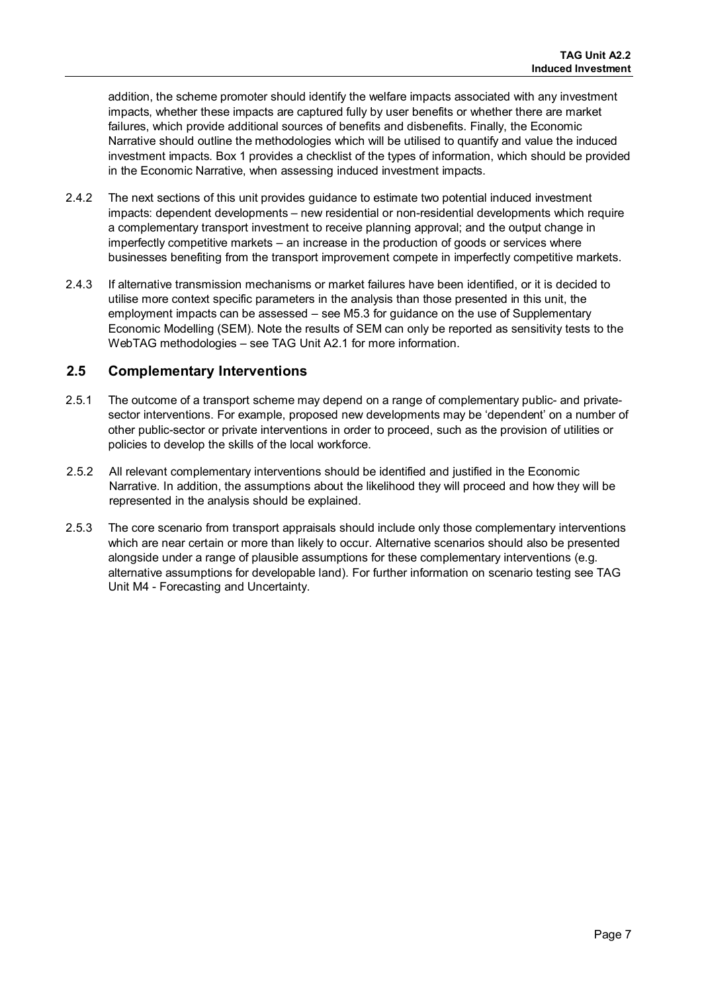addition, the scheme promoter should identify the welfare impacts associated with any investment impacts, whether these impacts are captured fully by user benefits or whether there are market failures, which provide additional sources of benefits and disbenefits. Finally, the Economic Narrative should outline the methodologies which will be utilised to quantify and value the induced investment impacts. Box 1 provides a checklist of the types of information, which should be provided in the Economic Narrative, when assessing induced investment impacts.

- 2.4.2 The next sections of this unit provides guidance to estimate two potential induced investment impacts: dependent developments – new residential or non-residential developments which require a complementary transport investment to receive planning approval; and the output change in imperfectly competitive markets – an increase in the production of goods or services where businesses benefiting from the transport improvement compete in imperfectly competitive markets.
- 2.4.3 If alternative transmission mechanisms or market failures have been identified, or it is decided to utilise more context specific parameters in the analysis than those presented in this unit, the employment impacts can be assessed – see M5.3 for guidance on the use of Supplementary Economic Modelling (SEM). Note the results of SEM can only be reported as sensitivity tests to the WebTAG methodologies – see TAG Unit A2.1 for more information.

### <span id="page-7-0"></span>**2.5 Complementary Interventions**

- 2.5.1 The outcome of a transport scheme may depend on a range of complementary public- and privatesector interventions. For example, proposed new developments may be 'dependent' on a number of other public-sector or private interventions in order to proceed, such as the provision of utilities or policies to develop the skills of the local workforce.
- 2.5.2 All relevant complementary interventions should be identified and justified in the Economic Narrative. In addition, the assumptions about the likelihood they will proceed and how they will be represented in the analysis should be explained.
- 2.5.3 The core scenario from transport appraisals should include only those complementary interventions which are near certain or more than likely to occur. Alternative scenarios should also be presented alongside under a range of plausible assumptions for these complementary interventions (e.g. alternative assumptions for developable land). For further information on scenario testing see TAG Unit M4 - Forecasting and Uncertainty.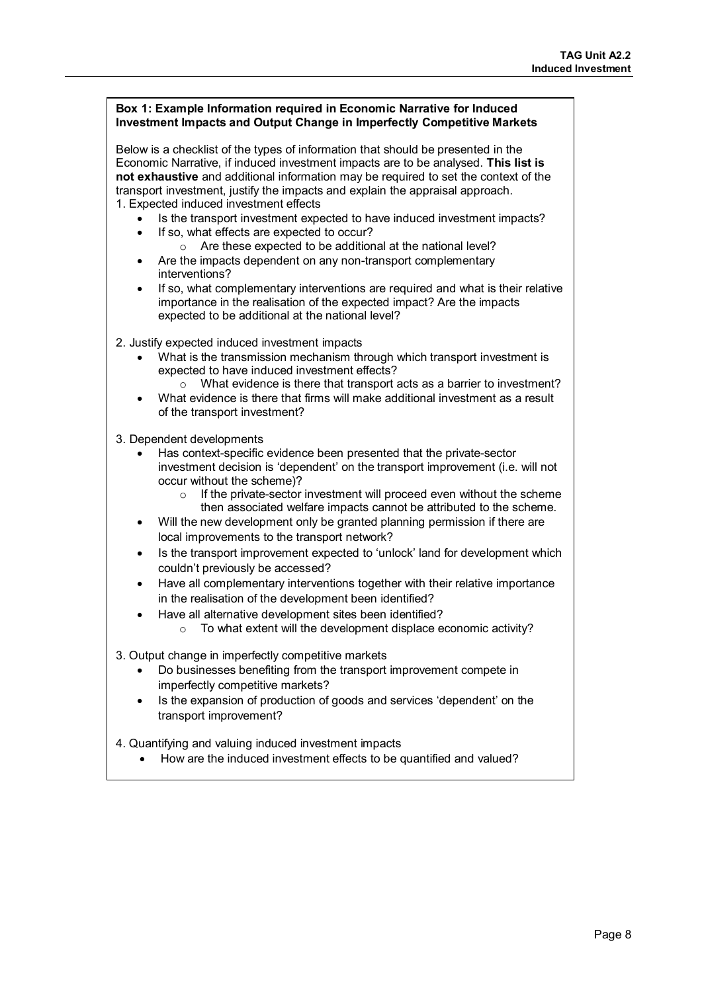| Box 1: Example Information required in Economic Narrative for Induced<br><b>Investment Impacts and Output Change in Imperfectly Competitive Markets</b>                                                                                                                                                                                                                                  |  |  |
|------------------------------------------------------------------------------------------------------------------------------------------------------------------------------------------------------------------------------------------------------------------------------------------------------------------------------------------------------------------------------------------|--|--|
| Below is a checklist of the types of information that should be presented in the<br>Economic Narrative, if induced investment impacts are to be analysed. This list is<br>not exhaustive and additional information may be required to set the context of the<br>transport investment, justify the impacts and explain the appraisal approach.<br>1. Expected induced investment effects |  |  |
| Is the transport investment expected to have induced investment impacts?                                                                                                                                                                                                                                                                                                                 |  |  |
| If so, what effects are expected to occur?<br>$\bullet$<br>Are these expected to be additional at the national level?<br>$\circ$<br>Are the impacts dependent on any non-transport complementary<br>$\bullet$<br>interventions?                                                                                                                                                          |  |  |
| If so, what complementary interventions are required and what is their relative<br>$\bullet$<br>importance in the realisation of the expected impact? Are the impacts<br>expected to be additional at the national level?                                                                                                                                                                |  |  |
| 2. Justify expected induced investment impacts                                                                                                                                                                                                                                                                                                                                           |  |  |
| What is the transmission mechanism through which transport investment is<br>expected to have induced investment effects?                                                                                                                                                                                                                                                                 |  |  |
| What evidence is there that transport acts as a barrier to investment?<br>$\circ$                                                                                                                                                                                                                                                                                                        |  |  |
| What evidence is there that firms will make additional investment as a result<br>of the transport investment?                                                                                                                                                                                                                                                                            |  |  |
| 3. Dependent developments                                                                                                                                                                                                                                                                                                                                                                |  |  |
| Has context-specific evidence been presented that the private-sector<br>investment decision is 'dependent' on the transport improvement (i.e. will not<br>occur without the scheme)?                                                                                                                                                                                                     |  |  |
| If the private-sector investment will proceed even without the scheme<br>$\circ$<br>then associated welfare impacts cannot be attributed to the scheme.<br>Will the new development only be granted planning permission if there are<br>$\bullet$                                                                                                                                        |  |  |
| local improvements to the transport network?<br>Is the transport improvement expected to 'unlock' land for development which<br>$\bullet$                                                                                                                                                                                                                                                |  |  |
| couldn't previously be accessed?                                                                                                                                                                                                                                                                                                                                                         |  |  |
| Have all complementary interventions together with their relative importance<br>$\bullet$<br>in the realisation of the development been identified?                                                                                                                                                                                                                                      |  |  |
| Have all alternative development sites been identified?<br>$\bullet$<br>To what extent will the development displace economic activity?<br>$\circ$                                                                                                                                                                                                                                       |  |  |
| 3. Output change in imperfectly competitive markets                                                                                                                                                                                                                                                                                                                                      |  |  |
| Do businesses benefiting from the transport improvement compete in<br>imperfectly competitive markets?                                                                                                                                                                                                                                                                                   |  |  |
| Is the expansion of production of goods and services 'dependent' on the<br>$\bullet$<br>transport improvement?                                                                                                                                                                                                                                                                           |  |  |
| 4. Quantifying and valuing induced investment impacts                                                                                                                                                                                                                                                                                                                                    |  |  |
| How are the induced investment effects to be quantified and valued?                                                                                                                                                                                                                                                                                                                      |  |  |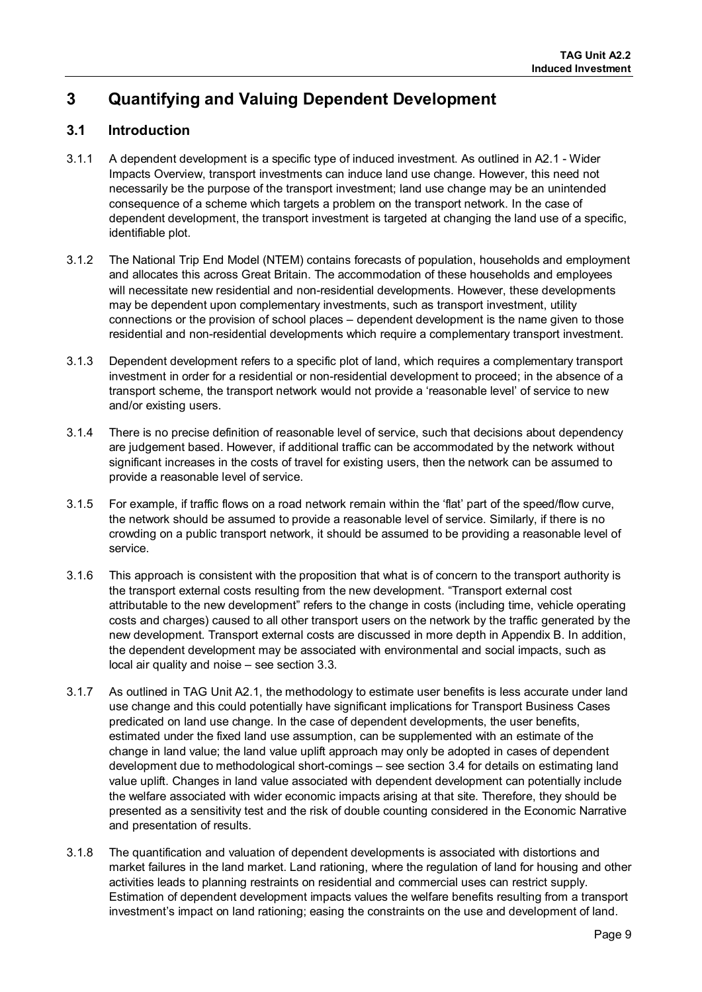# <span id="page-9-0"></span>**3 Quantifying and Valuing Dependent Development**

# <span id="page-9-1"></span>**3.1 Introduction**

- 3.1.1 A dependent development is a specific type of induced investment. As outlined in A2.1 Wider Impacts Overview, transport investments can induce land use change. However, this need not necessarily be the purpose of the transport investment; land use change may be an unintended consequence of a scheme which targets a problem on the transport network. In the case of dependent development, the transport investment is targeted at changing the land use of a specific, identifiable plot.
- 3.1.2 The National Trip End Model (NTEM) contains forecasts of population, households and employment and allocates this across Great Britain. The accommodation of these households and employees will necessitate new residential and non-residential developments. However, these developments may be dependent upon complementary investments, such as transport investment, utility connections or the provision of school places – dependent development is the name given to those residential and non-residential developments which require a complementary transport investment.
- 3.1.3 Dependent development refers to a specific plot of land, which requires a complementary transport investment in order for a residential or non-residential development to proceed; in the absence of a transport scheme, the transport network would not provide a 'reasonable level' of service to new and/or existing users.
- 3.1.4 There is no precise definition of reasonable level of service, such that decisions about dependency are judgement based. However, if additional traffic can be accommodated by the network without significant increases in the costs of travel for existing users, then the network can be assumed to provide a reasonable level of service.
- 3.1.5 For example, if traffic flows on a road network remain within the 'flat' part of the speed/flow curve, the network should be assumed to provide a reasonable level of service. Similarly, if there is no crowding on a public transport network, it should be assumed to be providing a reasonable level of service.
- 3.1.6 This approach is consistent with the proposition that what is of concern to the transport authority is the transport external costs resulting from the new development. "Transport external cost attributable to the new development" refers to the change in costs (including time, vehicle operating costs and charges) caused to all other transport users on the network by the traffic generated by the new development. Transport external costs are discussed in more depth in Appendix B. In addition, the dependent development may be associated with environmental and social impacts, such as local air quality and noise – see section 3.3.
- 3.1.7 As outlined in TAG Unit A2.1, the methodology to estimate user benefits is less accurate under land use change and this could potentially have significant implications for Transport Business Cases predicated on land use change. In the case of dependent developments, the user benefits, estimated under the fixed land use assumption, can be supplemented with an estimate of the change in land value; the land value uplift approach may only be adopted in cases of dependent development due to methodological short-comings – see section 3.4 for details on estimating land value uplift. Changes in land value associated with dependent development can potentially include the welfare associated with wider economic impacts arising at that site. Therefore, they should be presented as a sensitivity test and the risk of double counting considered in the Economic Narrative and presentation of results.
- 3.1.8 The quantification and valuation of dependent developments is associated with distortions and market failures in the land market. Land rationing, where the regulation of land for housing and other activities leads to planning restraints on residential and commercial uses can restrict supply. Estimation of dependent development impacts values the welfare benefits resulting from a transport investment's impact on land rationing; easing the constraints on the use and development of land.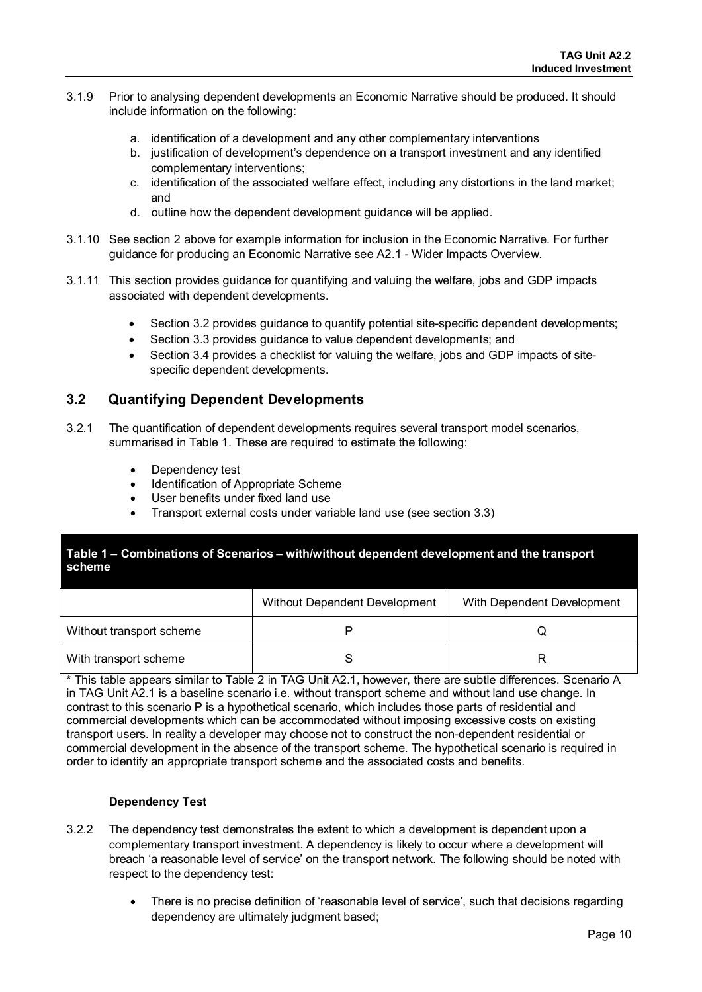- 3.1.9 Prior to analysing dependent developments an Economic Narrative should be produced. It should include information on the following:
	- a. identification of a development and any other complementary interventions
	- b. justification of development's dependence on a transport investment and any identified complementary interventions;
	- c. identification of the associated welfare effect, including any distortions in the land market; and
	- d. outline how the dependent development guidance will be applied.
- 3.1.10 See section 2 above for example information for inclusion in the Economic Narrative. For further guidance for producing an Economic Narrative see A2.1 - Wider Impacts Overview.
- 3.1.11 This section provides guidance for quantifying and valuing the welfare, jobs and GDP impacts associated with dependent developments.
	- Section 3.2 provides guidance to quantify potential site-specific dependent developments;
	- Section 3.3 provides guidance to value dependent developments; and
	- Section 3.4 provides a checklist for valuing the welfare, jobs and GDP impacts of sitespecific dependent developments.

### <span id="page-10-0"></span>**3.2 Quantifying Dependent Developments**

- 3.2.1 The quantification of dependent developments requires several transport model scenarios, summarised in Table 1. These are required to estimate the following:
	- Dependency test
	- Identification of Appropriate Scheme
	- User benefits under fixed land use
	- Transport external costs under variable land use (see section 3.3)

### **Table 1 – Combinations of Scenarios – with/without dependent development and the transport scheme**

|                          | Without Dependent Development | With Dependent Development |
|--------------------------|-------------------------------|----------------------------|
| Without transport scheme |                               |                            |
| With transport scheme    |                               |                            |

\* This table appears similar to Table 2 in TAG Unit A2.1, however, there are subtle differences. Scenario A in TAG Unit A2.1 is a baseline scenario i.e. without transport scheme and without land use change. In contrast to this scenario P is a hypothetical scenario, which includes those parts of residential and commercial developments which can be accommodated without imposing excessive costs on existing transport users. In reality a developer may choose not to construct the non-dependent residential or commercial development in the absence of the transport scheme. The hypothetical scenario is required in order to identify an appropriate transport scheme and the associated costs and benefits.

### **Dependency Test**

- 3.2.2 The dependency test demonstrates the extent to which a development is dependent upon a complementary transport investment. A dependency is likely to occur where a development will breach 'a reasonable level of service' on the transport network. The following should be noted with respect to the dependency test:
	- There is no precise definition of 'reasonable level of service', such that decisions regarding dependency are ultimately judgment based;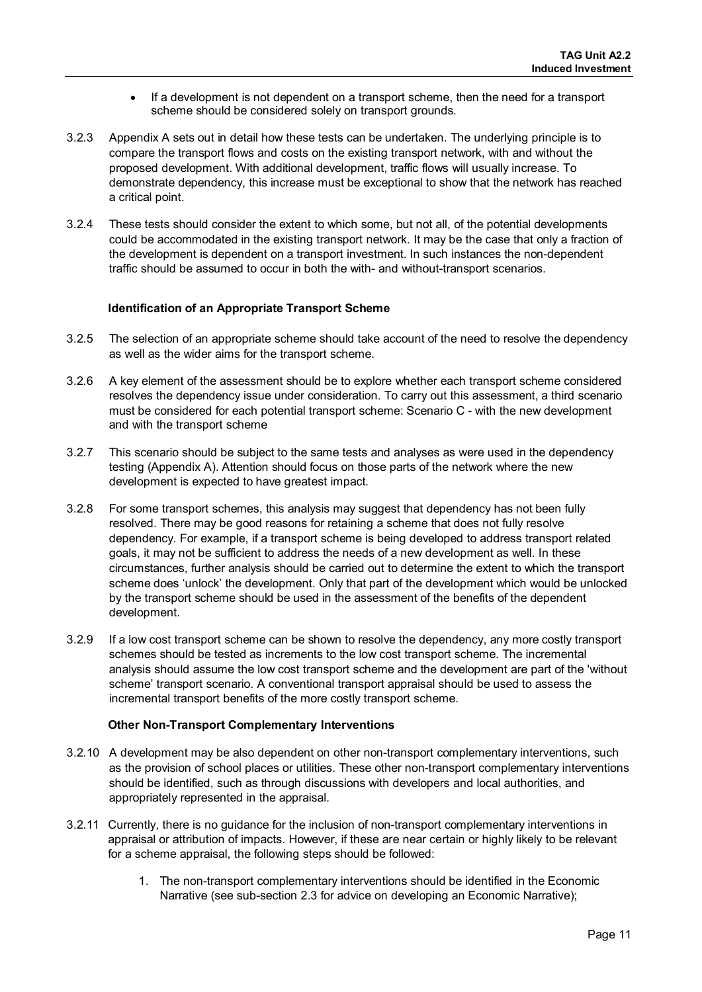- If a development is not dependent on a transport scheme, then the need for a transport scheme should be considered solely on transport grounds.
- 3.2.3 Appendix A sets out in detail how these tests can be undertaken. The underlying principle is to compare the transport flows and costs on the existing transport network, with and without the proposed development. With additional development, traffic flows will usually increase. To demonstrate dependency, this increase must be exceptional to show that the network has reached a critical point.
- 3.2.4 These tests should consider the extent to which some, but not all, of the potential developments could be accommodated in the existing transport network. It may be the case that only a fraction of the development is dependent on a transport investment. In such instances the non-dependent traffic should be assumed to occur in both the with- and without-transport scenarios.

### **Identification of an Appropriate Transport Scheme**

- 3.2.5 The selection of an appropriate scheme should take account of the need to resolve the dependency as well as the wider aims for the transport scheme.
- 3.2.6 A key element of the assessment should be to explore whether each transport scheme considered resolves the dependency issue under consideration. To carry out this assessment, a third scenario must be considered for each potential transport scheme: Scenario C - with the new development and with the transport scheme
- 3.2.7 This scenario should be subject to the same tests and analyses as were used in the dependency testing (Appendix A). Attention should focus on those parts of the network where the new development is expected to have greatest impact.
- 3.2.8 For some transport schemes, this analysis may suggest that dependency has not been fully resolved. There may be good reasons for retaining a scheme that does not fully resolve dependency. For example, if a transport scheme is being developed to address transport related goals, it may not be sufficient to address the needs of a new development as well. In these circumstances, further analysis should be carried out to determine the extent to which the transport scheme does 'unlock' the development. Only that part of the development which would be unlocked by the transport scheme should be used in the assessment of the benefits of the dependent development.
- 3.2.9 If a low cost transport scheme can be shown to resolve the dependency, any more costly transport schemes should be tested as increments to the low cost transport scheme. The incremental analysis should assume the low cost transport scheme and the development are part of the 'without scheme' transport scenario. A conventional transport appraisal should be used to assess the incremental transport benefits of the more costly transport scheme.

### **Other Non-Transport Complementary Interventions**

- 3.2.10 A development may be also dependent on other non-transport complementary interventions, such as the provision of school places or utilities. These other non-transport complementary interventions should be identified, such as through discussions with developers and local authorities, and appropriately represented in the appraisal.
- 3.2.11 Currently, there is no guidance for the inclusion of non-transport complementary interventions in appraisal or attribution of impacts. However, if these are near certain or highly likely to be relevant for a scheme appraisal, the following steps should be followed:
	- 1. The non-transport complementary interventions should be identified in the Economic Narrative (see sub-section 2.3 for advice on developing an Economic Narrative);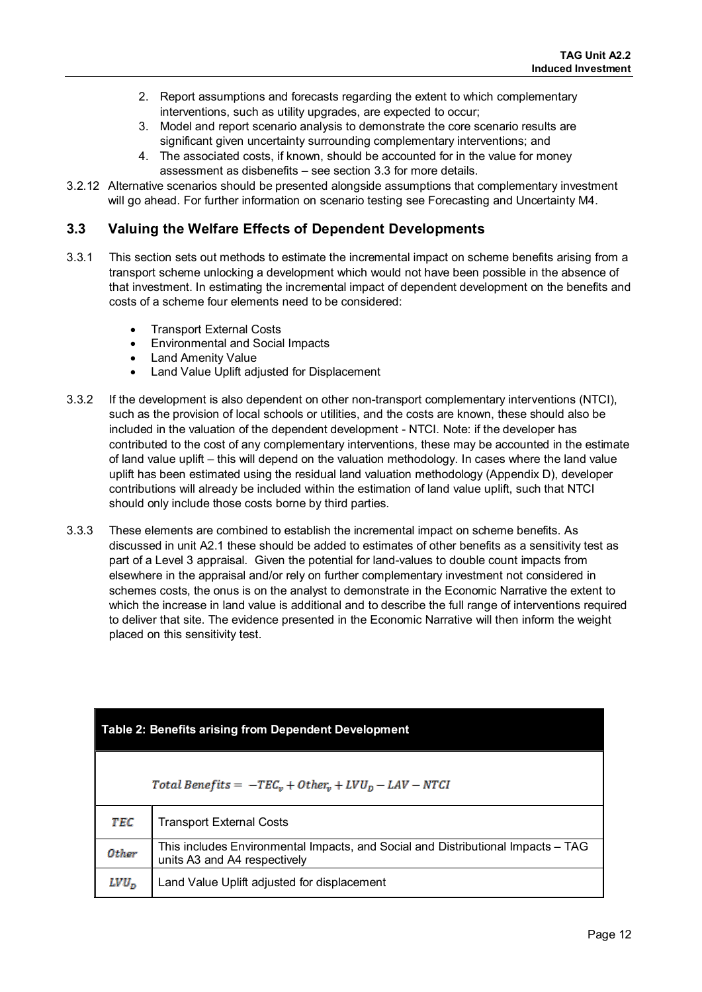- 2. Report assumptions and forecasts regarding the extent to which complementary interventions, such as utility upgrades, are expected to occur;
- 3. Model and report scenario analysis to demonstrate the core scenario results are significant given uncertainty surrounding complementary interventions; and
- 4. The associated costs, if known, should be accounted for in the value for money assessment as disbenefits – see section 3.3 for more details.
- 3.2.12 Alternative scenarios should be presented alongside assumptions that complementary investment will go ahead. For further information on scenario testing see Forecasting and Uncertainty M4.

### <span id="page-12-0"></span>**3.3 Valuing the Welfare Effects of Dependent Developments**

- 3.3.1 This section sets out methods to estimate the incremental impact on scheme benefits arising from a transport scheme unlocking a development which would not have been possible in the absence of that investment. In estimating the incremental impact of dependent development on the benefits and costs of a scheme four elements need to be considered:
	- Transport External Costs
	- Environmental and Social Impacts
	- Land Amenity Value
	- Land Value Uplift adjusted for Displacement
- 3.3.2 If the development is also dependent on other non-transport complementary interventions (NTCI), such as the provision of local schools or utilities, and the costs are known, these should also be included in the valuation of the dependent development - NTCI. Note: if the developer has contributed to the cost of any complementary interventions, these may be accounted in the estimate of land value uplift – this will depend on the valuation methodology. In cases where the land value uplift has been estimated using the residual land valuation methodology (Appendix D), developer contributions will already be included within the estimation of land value uplift, such that NTCI should only include those costs borne by third parties.
- 3.3.3 These elements are combined to establish the incremental impact on scheme benefits. As discussed in unit A2.1 these should be added to estimates of other benefits as a sensitivity test as part of a Level 3 appraisal. Given the potential for land-values to double count impacts from elsewhere in the appraisal and/or rely on further complementary investment not considered in schemes costs, the onus is on the analyst to demonstrate in the Economic Narrative the extent to which the increase in land value is additional and to describe the full range of interventions required to deliver that site. The evidence presented in the Economic Narrative will then inform the weight placed on this sensitivity test.

| <b>Table 2: Benefits arising from Dependent Development</b> |                                                                                                                  |  |
|-------------------------------------------------------------|------------------------------------------------------------------------------------------------------------------|--|
|                                                             | Total Benefits = $-TEC_v + Other_v + LVU_D - LAV - NTCI$                                                         |  |
| TEC                                                         | <b>Transport External Costs</b>                                                                                  |  |
| Other                                                       | This includes Environmental Impacts, and Social and Distributional Impacts – TAG<br>units A3 and A4 respectively |  |
| $LVD_n$                                                     | Land Value Uplift adjusted for displacement                                                                      |  |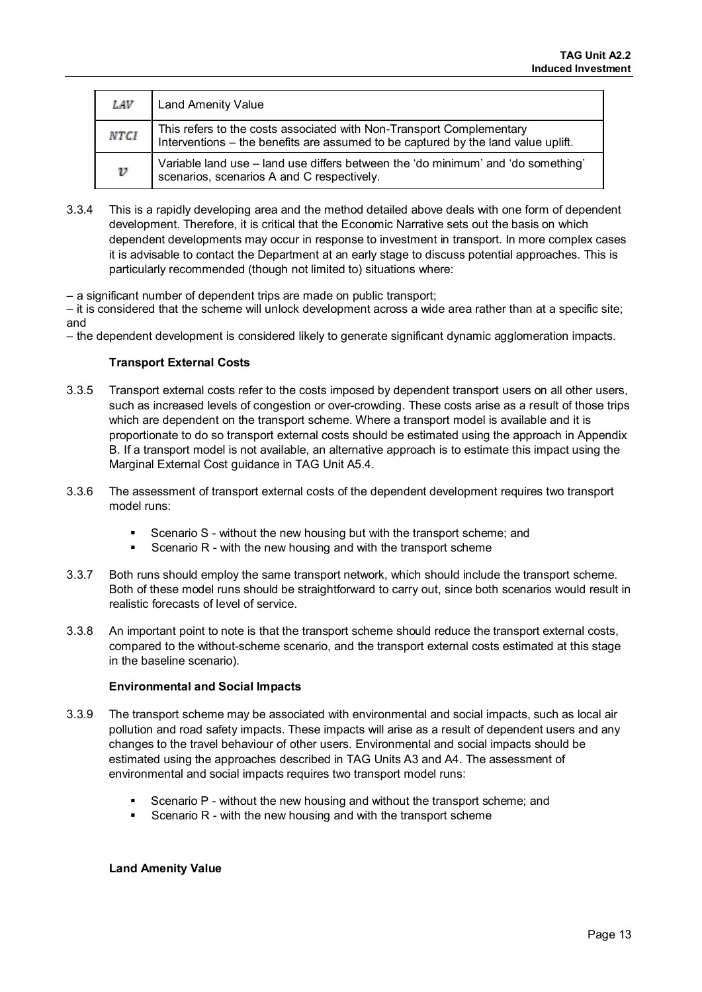| LAV         | <b>Land Amenity Value</b>                                                                                                                                 |
|-------------|-----------------------------------------------------------------------------------------------------------------------------------------------------------|
| <b>NTCI</b> | This refers to the costs associated with Non-Transport Complementary<br>Interventions – the benefits are assumed to be captured by the land value uplift. |
| ν           | Variable land use - land use differs between the 'do minimum' and 'do something'<br>scenarios, scenarios A and C respectively.                            |

3.3.4 This is a rapidly developing area and the method detailed above deals with one form of dependent development. Therefore, it is critical that the Economic Narrative sets out the basis on which dependent developments may occur in response to investment in transport. In more complex cases it is advisable to contact the Department at an early stage to discuss potential approaches. This is particularly recommended (though not limited to) situations where:

– a significant number of dependent trips are made on public transport;

– it is considered that the scheme will unlock development across a wide area rather than at a specific site; and

– the dependent development is considered likely to generate significant dynamic agglomeration impacts.

### **Transport External Costs**

- 3.3.5 Transport external costs refer to the costs imposed by dependent transport users on all other users, such as increased levels of congestion or over-crowding. These costs arise as a result of those trips which are dependent on the transport scheme. Where a transport model is available and it is proportionate to do so transport external costs should be estimated using the approach in Appendix B. If a transport model is not available, an alternative approach is to estimate this impact using the Marginal External Cost guidance in TAG Unit A5.4.
- 3.3.6 The assessment of transport external costs of the dependent development requires two transport model runs:
	- Scenario S without the new housing but with the transport scheme; and
	- Scenario R with the new housing and with the transport scheme
- 3.3.7 Both runs should employ the same transport network, which should include the transport scheme. Both of these model runs should be straightforward to carry out, since both scenarios would result in realistic forecasts of level of service.
- 3.3.8 An important point to note is that the transport scheme should reduce the transport external costs, compared to the without-scheme scenario, and the transport external costs estimated at this stage in the baseline scenario).

#### **Environmental and Social Impacts**

- 3.3.9 The transport scheme may be associated with environmental and social impacts, such as local air pollution and road safety impacts. These impacts will arise as a result of dependent users and any changes to the travel behaviour of other users. Environmental and social impacts should be estimated using the approaches described in TAG Units A3 and A4. The assessment of environmental and social impacts requires two transport model runs:
	- Scenario P without the new housing and without the transport scheme; and
	- Scenario R with the new housing and with the transport scheme

#### **Land Amenity Value**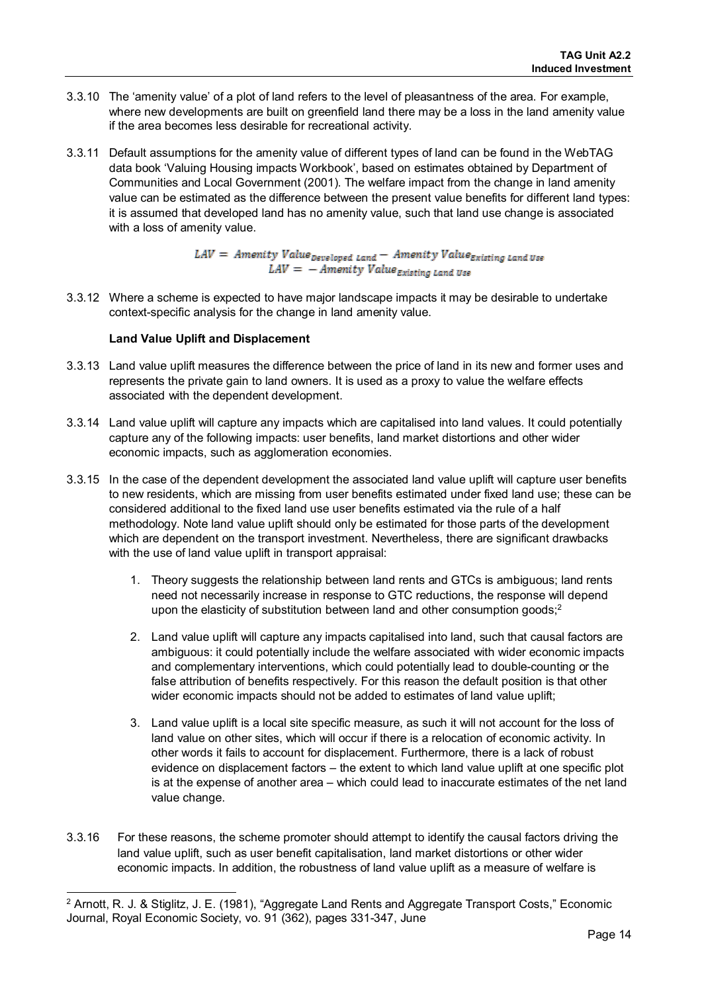- 3.3.10 The 'amenity value' of a plot of land refers to the level of pleasantness of the area. For example, where new developments are built on greenfield land there may be a loss in the land amenity value if the area becomes less desirable for recreational activity.
- 3.3.11 Default assumptions for the amenity value of different types of land can be found in the WebTAG data book 'Valuing Housing impacts Workbook', based on estimates obtained by Department of Communities and Local Government (2001). The welfare impact from the change in land amenity value can be estimated as the difference between the present value benefits for different land types: it is assumed that developed land has no amenity value, such that land use change is associated with a loss of amenity value.

 $LAV =$  Amenity Value  $_{\text{Developed Land}} -$  Amenity Value  $_{\text{existing Land}}$  $LAV = -$  Amenity Value Existing Land Use

3.3.12 Where a scheme is expected to have major landscape impacts it may be desirable to undertake context-specific analysis for the change in land amenity value.

#### **Land Value Uplift and Displacement**

- 3.3.13 Land value uplift measures the difference between the price of land in its new and former uses and represents the private gain to land owners. It is used as a proxy to value the welfare effects associated with the dependent development.
- 3.3.14 Land value uplift will capture any impacts which are capitalised into land values. It could potentially capture any of the following impacts: user benefits, land market distortions and other wider economic impacts, such as agglomeration economies.
- 3.3.15 In the case of the dependent development the associated land value uplift will capture user benefits to new residents, which are missing from user benefits estimated under fixed land use; these can be considered additional to the fixed land use user benefits estimated via the rule of a half methodology. Note land value uplift should only be estimated for those parts of the development which are dependent on the transport investment. Nevertheless, there are significant drawbacks with the use of land value uplift in transport appraisal:
	- 1. Theory suggests the relationship between land rents and GTCs is ambiguous; land rents need not necessarily increase in response to GTC reductions, the response will depend upon the elasticity of substitution between land and other consumption goods;<sup>2</sup>
	- 2. Land value uplift will capture any impacts capitalised into land, such that causal factors are ambiguous: it could potentially include the welfare associated with wider economic impacts and complementary interventions, which could potentially lead to double-counting or the false attribution of benefits respectively. For this reason the default position is that other wider economic impacts should not be added to estimates of land value uplift;
	- 3. Land value uplift is a local site specific measure, as such it will not account for the loss of land value on other sites, which will occur if there is a relocation of economic activity. In other words it fails to account for displacement. Furthermore, there is a lack of robust evidence on displacement factors – the extent to which land value uplift at one specific plot is at the expense of another area – which could lead to inaccurate estimates of the net land value change.
- 3.3.16 For these reasons, the scheme promoter should attempt to identify the causal factors driving the land value uplift, such as user benefit capitalisation, land market distortions or other wider economic impacts. In addition, the robustness of land value uplift as a measure of welfare is

<span id="page-14-0"></span>ı <sup>2</sup> Arnott, R. J. & Stiglitz, J. E. (1981), "Aggregate Land Rents and Aggregate Transport Costs," Economic Journal, Royal Economic Society, vo. 91 (362), pages 331-347, June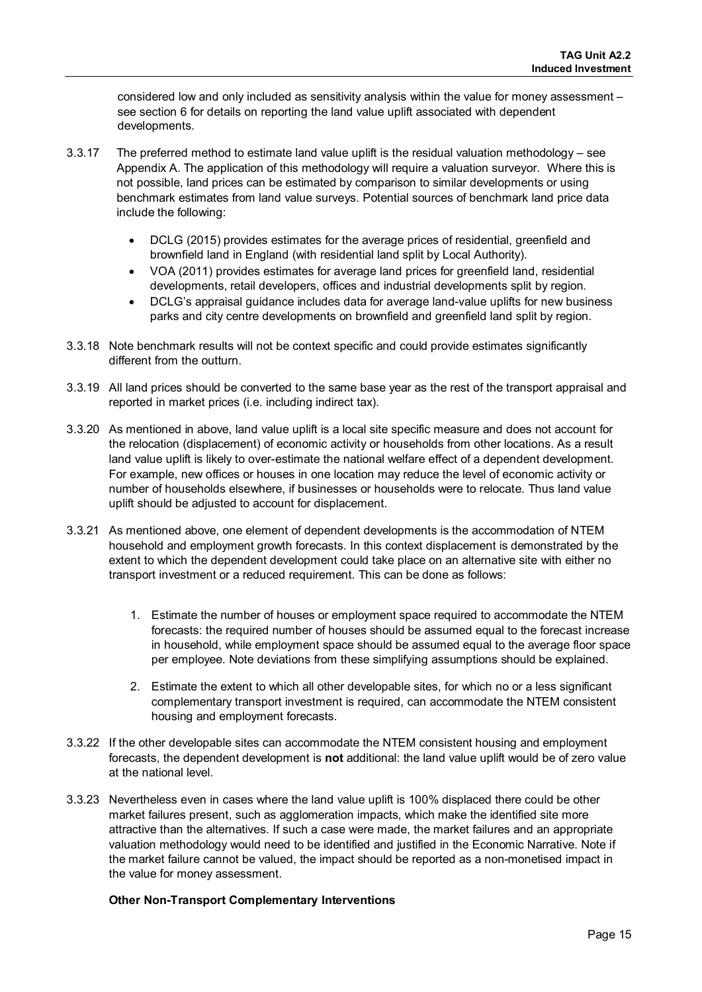considered low and only included as sensitivity analysis within the value for money assessment – see section 6 for details on reporting the land value uplift associated with dependent developments.

- 3.3.17 The preferred method to estimate land value uplift is the residual valuation methodology see Appendix A. The application of this methodology will require a valuation surveyor. Where this is not possible, land prices can be estimated by comparison to similar developments or using benchmark estimates from land value surveys. Potential sources of benchmark land price data include the following:
	- DCLG (2015) provides estimates for the average prices of residential, greenfield and brownfield land in England (with residential land split by Local Authority).
	- VOA (2011) provides estimates for average land prices for greenfield land, residential developments, retail developers, offices and industrial developments split by region.
	- DCLG's appraisal guidance includes data for average land-value uplifts for new business parks and city centre developments on brownfield and greenfield land split by region.
- 3.3.18 Note benchmark results will not be context specific and could provide estimates significantly different from the outturn.
- 3.3.19 All land prices should be converted to the same base year as the rest of the transport appraisal and reported in market prices (i.e. including indirect tax).
- 3.3.20 As mentioned in above, land value uplift is a local site specific measure and does not account for the relocation (displacement) of economic activity or households from other locations. As a result land value uplift is likely to over-estimate the national welfare effect of a dependent development. For example, new offices or houses in one location may reduce the level of economic activity or number of households elsewhere, if businesses or households were to relocate. Thus land value uplift should be adjusted to account for displacement.
- 3.3.21 As mentioned above, one element of dependent developments is the accommodation of NTEM household and employment growth forecasts. In this context displacement is demonstrated by the extent to which the dependent development could take place on an alternative site with either no transport investment or a reduced requirement. This can be done as follows:
	- 1. Estimate the number of houses or employment space required to accommodate the NTEM forecasts: the required number of houses should be assumed equal to the forecast increase in household, while employment space should be assumed equal to the average floor space per employee. Note deviations from these simplifying assumptions should be explained.
	- 2. Estimate the extent to which all other developable sites, for which no or a less significant complementary transport investment is required, can accommodate the NTEM consistent housing and employment forecasts.
- 3.3.22 If the other developable sites can accommodate the NTEM consistent housing and employment forecasts, the dependent development is **not** additional: the land value uplift would be of zero value at the national level.
- 3.3.23 Nevertheless even in cases where the land value uplift is 100% displaced there could be other market failures present, such as agglomeration impacts, which make the identified site more attractive than the alternatives. If such a case were made, the market failures and an appropriate valuation methodology would need to be identified and justified in the Economic Narrative. Note if the market failure cannot be valued, the impact should be reported as a non-monetised impact in the value for money assessment.

### **Other Non-Transport Complementary Interventions**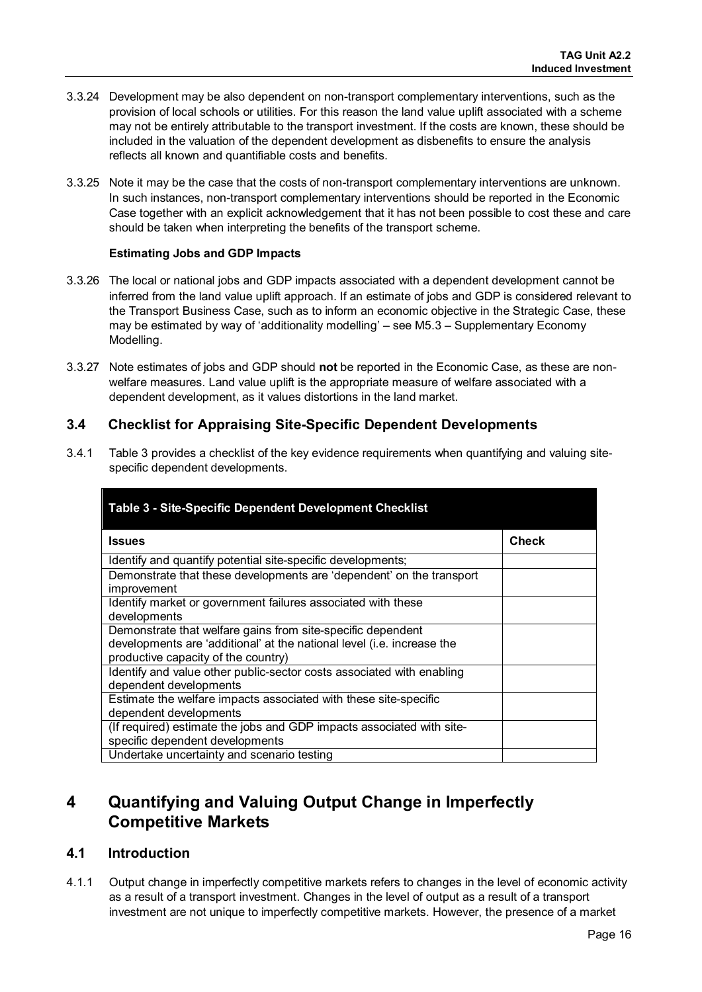- 3.3.24 Development may be also dependent on non-transport complementary interventions, such as the provision of local schools or utilities. For this reason the land value uplift associated with a scheme may not be entirely attributable to the transport investment. If the costs are known, these should be included in the valuation of the dependent development as disbenefits to ensure the analysis reflects all known and quantifiable costs and benefits.
- 3.3.25 Note it may be the case that the costs of non-transport complementary interventions are unknown. In such instances, non-transport complementary interventions should be reported in the Economic Case together with an explicit acknowledgement that it has not been possible to cost these and care should be taken when interpreting the benefits of the transport scheme.

#### **Estimating Jobs and GDP Impacts**

- 3.3.26 The local or national jobs and GDP impacts associated with a dependent development cannot be inferred from the land value uplift approach. If an estimate of jobs and GDP is considered relevant to the Transport Business Case, such as to inform an economic objective in the Strategic Case, these may be estimated by way of 'additionality modelling' – see M5.3 – Supplementary Economy Modelling.
- 3.3.27 Note estimates of jobs and GDP should **not** be reported in the Economic Case, as these are nonwelfare measures. Land value uplift is the appropriate measure of welfare associated with a dependent development, as it values distortions in the land market.

### <span id="page-16-0"></span>**3.4 Checklist for Appraising Site-Specific Dependent Developments**

3.4.1 Table 3 provides a checklist of the key evidence requirements when quantifying and valuing sitespecific dependent developments.

| Table 3 - Site-Specific Dependent Development Checklist                                                                                                                      |              |
|------------------------------------------------------------------------------------------------------------------------------------------------------------------------------|--------------|
| <b>Issues</b>                                                                                                                                                                | <b>Check</b> |
| Identify and quantify potential site-specific developments;                                                                                                                  |              |
| Demonstrate that these developments are 'dependent' on the transport<br>improvement                                                                                          |              |
| Identify market or government failures associated with these<br>developments                                                                                                 |              |
| Demonstrate that welfare gains from site-specific dependent<br>developments are 'additional' at the national level (i.e. increase the<br>productive capacity of the country) |              |
| Identify and value other public-sector costs associated with enabling<br>dependent developments                                                                              |              |
| Estimate the welfare impacts associated with these site-specific<br>dependent developments                                                                                   |              |
| (If required) estimate the jobs and GDP impacts associated with site-<br>specific dependent developments                                                                     |              |
| Undertake uncertainty and scenario testing                                                                                                                                   |              |

# <span id="page-16-1"></span>**4 Quantifying and Valuing Output Change in Imperfectly Competitive Markets**

### <span id="page-16-2"></span>**4.1 Introduction**

4.1.1 Output change in imperfectly competitive markets refers to changes in the level of economic activity as a result of a transport investment. Changes in the level of output as a result of a transport investment are not unique to imperfectly competitive markets. However, the presence of a market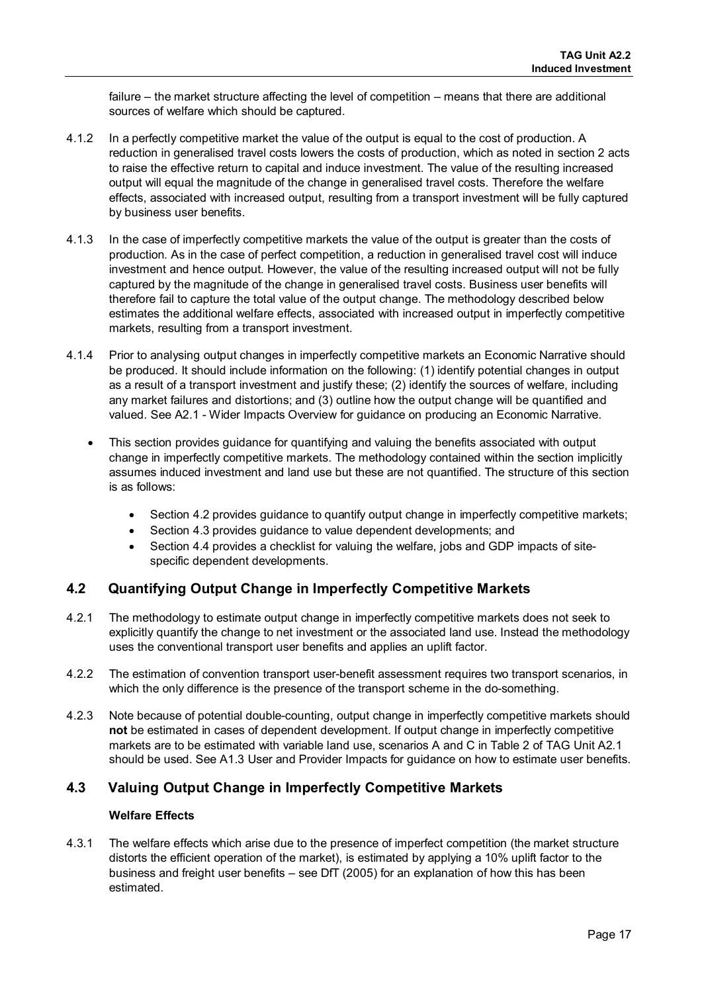failure – the market structure affecting the level of competition – means that there are additional sources of welfare which should be captured.

- 4.1.2 In a perfectly competitive market the value of the output is equal to the cost of production. A reduction in generalised travel costs lowers the costs of production, which as noted in section 2 acts to raise the effective return to capital and induce investment. The value of the resulting increased output will equal the magnitude of the change in generalised travel costs. Therefore the welfare effects, associated with increased output, resulting from a transport investment will be fully captured by business user benefits.
- 4.1.3 In the case of imperfectly competitive markets the value of the output is greater than the costs of production. As in the case of perfect competition, a reduction in generalised travel cost will induce investment and hence output. However, the value of the resulting increased output will not be fully captured by the magnitude of the change in generalised travel costs. Business user benefits will therefore fail to capture the total value of the output change. The methodology described below estimates the additional welfare effects, associated with increased output in imperfectly competitive markets, resulting from a transport investment.
- 4.1.4 Prior to analysing output changes in imperfectly competitive markets an Economic Narrative should be produced. It should include information on the following: (1) identify potential changes in output as a result of a transport investment and justify these; (2) identify the sources of welfare, including any market failures and distortions; and (3) outline how the output change will be quantified and valued. See A2.1 - Wider Impacts Overview for guidance on producing an Economic Narrative.
	- This section provides guidance for quantifying and valuing the benefits associated with output change in imperfectly competitive markets. The methodology contained within the section implicitly assumes induced investment and land use but these are not quantified. The structure of this section is as follows:
		- Section 4.2 provides guidance to quantify output change in imperfectly competitive markets;
		- Section 4.3 provides guidance to value dependent developments; and
		- Section 4.4 provides a checklist for valuing the welfare, jobs and GDP impacts of sitespecific dependent developments.

# <span id="page-17-0"></span>**4.2 Quantifying Output Change in Imperfectly Competitive Markets**

- 4.2.1 The methodology to estimate output change in imperfectly competitive markets does not seek to explicitly quantify the change to net investment or the associated land use. Instead the methodology uses the conventional transport user benefits and applies an uplift factor.
- 4.2.2 The estimation of convention transport user-benefit assessment requires two transport scenarios, in which the only difference is the presence of the transport scheme in the do-something.
- 4.2.3 Note because of potential double-counting, output change in imperfectly competitive markets should **not** be estimated in cases of dependent development. If output change in imperfectly competitive markets are to be estimated with variable land use, scenarios A and C in Table 2 of TAG Unit A2.1 should be used. See A1.3 User and Provider Impacts for guidance on how to estimate user benefits.

# <span id="page-17-1"></span>**4.3 Valuing Output Change in Imperfectly Competitive Markets**

### **Welfare Effects**

4.3.1 The welfare effects which arise due to the presence of imperfect competition (the market structure distorts the efficient operation of the market), is estimated by applying a 10% uplift factor to the business and freight user benefits – see DfT (2005) for an explanation of how this has been estimated.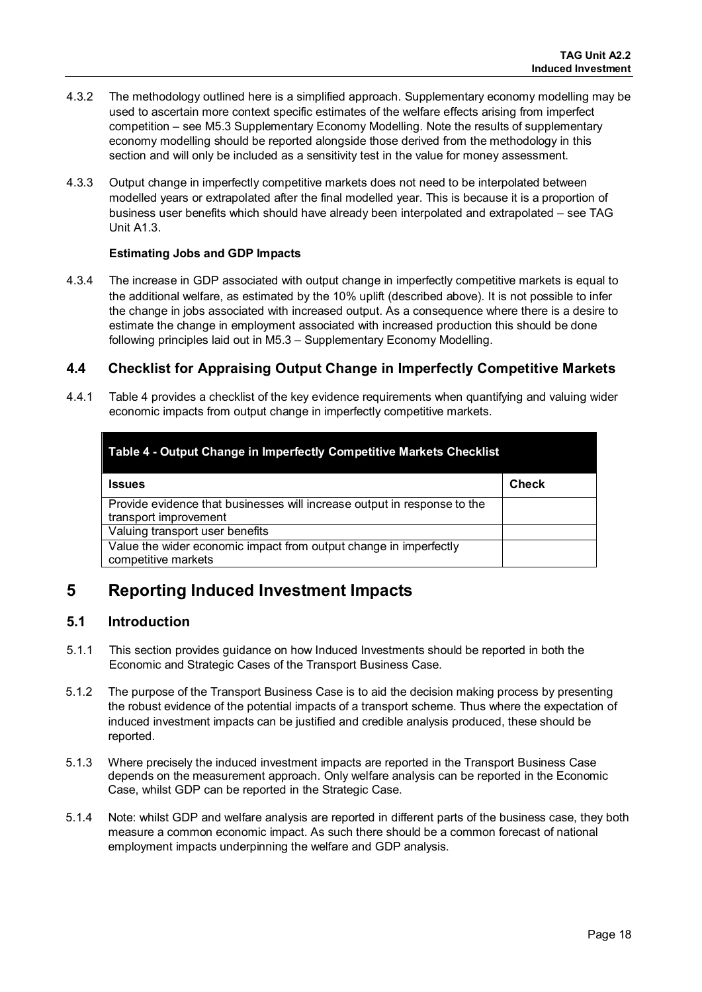- 4.3.2 The methodology outlined here is a simplified approach. Supplementary economy modelling may be used to ascertain more context specific estimates of the welfare effects arising from imperfect competition – see M5.3 Supplementary Economy Modelling. Note the results of supplementary economy modelling should be reported alongside those derived from the methodology in this section and will only be included as a sensitivity test in the value for money assessment.
- 4.3.3 Output change in imperfectly competitive markets does not need to be interpolated between modelled years or extrapolated after the final modelled year. This is because it is a proportion of business user benefits which should have already been interpolated and extrapolated – see TAG Unit A1.3.

#### **Estimating Jobs and GDP Impacts**

4.3.4 The increase in GDP associated with output change in imperfectly competitive markets is equal to the additional welfare, as estimated by the 10% uplift (described above). It is not possible to infer the change in jobs associated with increased output. As a consequence where there is a desire to estimate the change in employment associated with increased production this should be done following principles laid out in M5.3 – Supplementary Economy Modelling.

### <span id="page-18-0"></span>**4.4 Checklist for Appraising Output Change in Imperfectly Competitive Markets**

4.4.1 Table 4 provides a checklist of the key evidence requirements when quantifying and valuing wider economic impacts from output change in imperfectly competitive markets.

| Table 4 - Output Change in Imperfectly Competitive Markets Checklist                              |              |  |
|---------------------------------------------------------------------------------------------------|--------------|--|
| Issues                                                                                            | <b>Check</b> |  |
| Provide evidence that businesses will increase output in response to the<br>transport improvement |              |  |
| Valuing transport user benefits                                                                   |              |  |
| Value the wider economic impact from output change in imperfectly<br>competitive markets          |              |  |

# <span id="page-18-1"></span>**5 Reporting Induced Investment Impacts**

### <span id="page-18-2"></span>**5.1 Introduction**

- 5.1.1 This section provides guidance on how Induced Investments should be reported in both the Economic and Strategic Cases of the Transport Business Case.
- 5.1.2 The purpose of the Transport Business Case is to aid the decision making process by presenting the robust evidence of the potential impacts of a transport scheme. Thus where the expectation of induced investment impacts can be justified and credible analysis produced, these should be reported.
- 5.1.3 Where precisely the induced investment impacts are reported in the Transport Business Case depends on the measurement approach. Only welfare analysis can be reported in the Economic Case, whilst GDP can be reported in the Strategic Case.
- 5.1.4 Note: whilst GDP and welfare analysis are reported in different parts of the business case, they both measure a common economic impact. As such there should be a common forecast of national employment impacts underpinning the welfare and GDP analysis.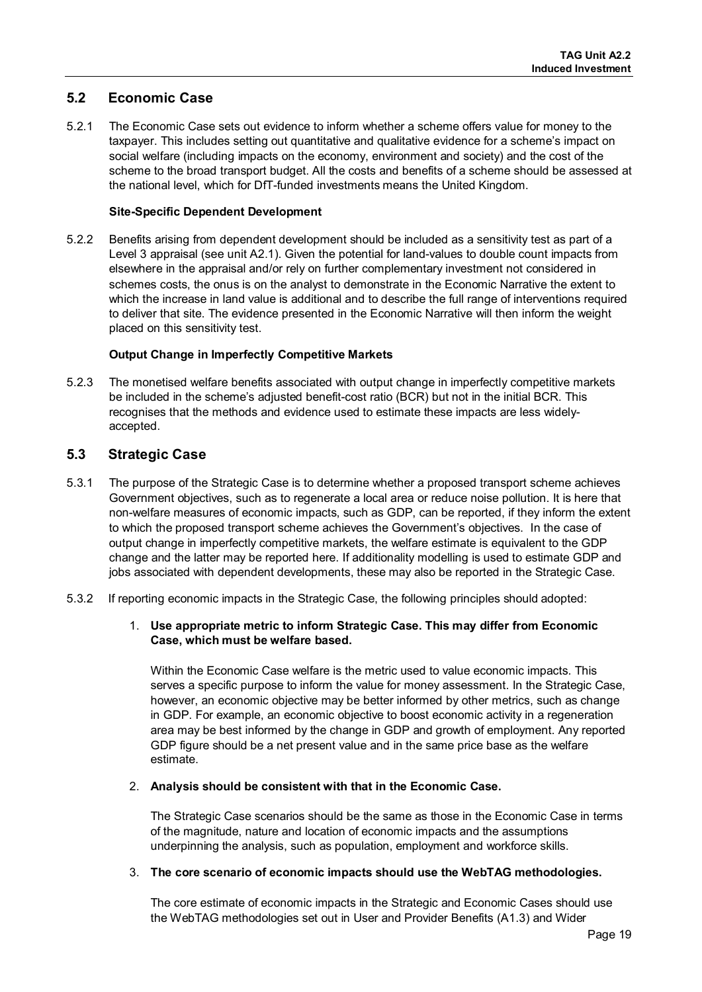# <span id="page-19-0"></span>**5.2 Economic Case**

5.2.1 The Economic Case sets out evidence to inform whether a scheme offers value for money to the taxpayer. This includes setting out quantitative and qualitative evidence for a scheme's impact on social welfare (including impacts on the economy, environment and society) and the cost of the scheme to the broad transport budget. All the costs and benefits of a scheme should be assessed at the national level, which for DfT-funded investments means the United Kingdom.

### **Site-Specific Dependent Development**

5.2.2 Benefits arising from dependent development should be included as a sensitivity test as part of a Level 3 appraisal (see unit A2.1). Given the potential for land-values to double count impacts from elsewhere in the appraisal and/or rely on further complementary investment not considered in schemes costs, the onus is on the analyst to demonstrate in the Economic Narrative the extent to which the increase in land value is additional and to describe the full range of interventions required to deliver that site. The evidence presented in the Economic Narrative will then inform the weight placed on this sensitivity test.

### **Output Change in Imperfectly Competitive Markets**

5.2.3 The monetised welfare benefits associated with output change in imperfectly competitive markets be included in the scheme's adjusted benefit-cost ratio (BCR) but not in the initial BCR. This recognises that the methods and evidence used to estimate these impacts are less widelyaccepted.

### <span id="page-19-1"></span>**5.3 Strategic Case**

- 5.3.1 The purpose of the Strategic Case is to determine whether a proposed transport scheme achieves Government objectives, such as to regenerate a local area or reduce noise pollution. It is here that non-welfare measures of economic impacts, such as GDP, can be reported, if they inform the extent to which the proposed transport scheme achieves the Government's objectives. In the case of output change in imperfectly competitive markets, the welfare estimate is equivalent to the GDP change and the latter may be reported here. If additionality modelling is used to estimate GDP and jobs associated with dependent developments, these may also be reported in the Strategic Case.
- 5.3.2 If reporting economic impacts in the Strategic Case, the following principles should adopted:

### 1. **Use appropriate metric to inform Strategic Case. This may differ from Economic Case, which must be welfare based.**

Within the Economic Case welfare is the metric used to value economic impacts. This serves a specific purpose to inform the value for money assessment. In the Strategic Case, however, an economic objective may be better informed by other metrics, such as change in GDP. For example, an economic objective to boost economic activity in a regeneration area may be best informed by the change in GDP and growth of employment. Any reported GDP figure should be a net present value and in the same price base as the welfare estimate.

### 2. **Analysis should be consistent with that in the Economic Case.**

The Strategic Case scenarios should be the same as those in the Economic Case in terms of the magnitude, nature and location of economic impacts and the assumptions underpinning the analysis, such as population, employment and workforce skills.

### 3. **The core scenario of economic impacts should use the WebTAG methodologies.**

The core estimate of economic impacts in the Strategic and Economic Cases should use the WebTAG methodologies set out in User and Provider Benefits (A1.3) and Wider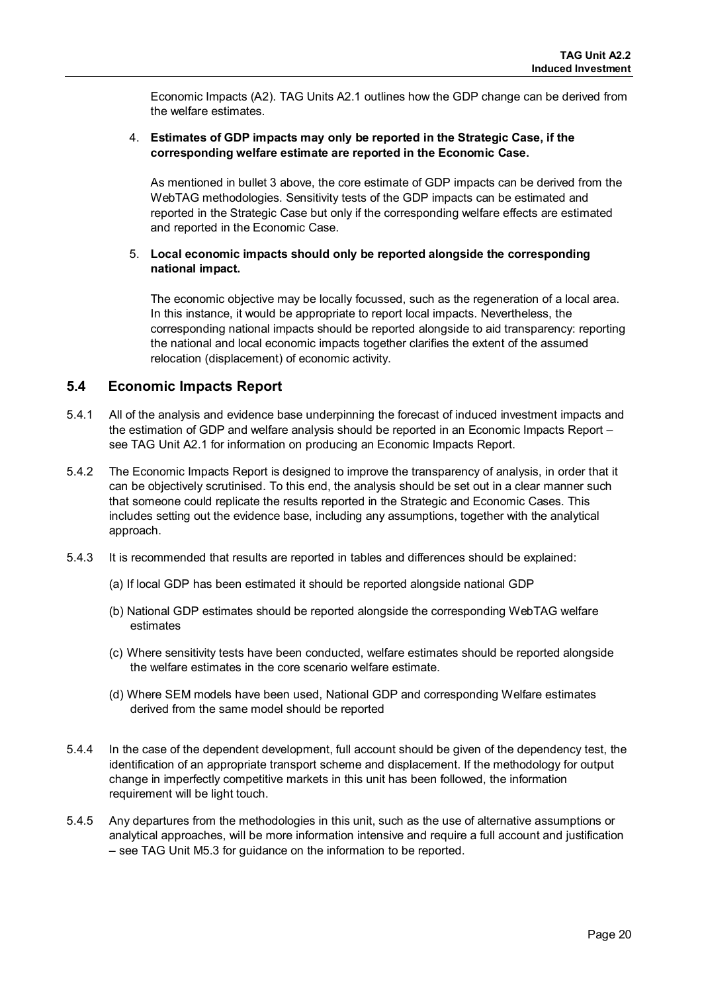Economic Impacts (A2). TAG Units A2.1 outlines how the GDP change can be derived from the welfare estimates.

### 4. **Estimates of GDP impacts may only be reported in the Strategic Case, if the corresponding welfare estimate are reported in the Economic Case.**

As mentioned in bullet 3 above, the core estimate of GDP impacts can be derived from the WebTAG methodologies. Sensitivity tests of the GDP impacts can be estimated and reported in the Strategic Case but only if the corresponding welfare effects are estimated and reported in the Economic Case.

### 5. **Local economic impacts should only be reported alongside the corresponding national impact.**

The economic objective may be locally focussed, such as the regeneration of a local area. In this instance, it would be appropriate to report local impacts. Nevertheless, the corresponding national impacts should be reported alongside to aid transparency: reporting the national and local economic impacts together clarifies the extent of the assumed relocation (displacement) of economic activity.

# <span id="page-20-0"></span>**5.4 Economic Impacts Report**

- 5.4.1 All of the analysis and evidence base underpinning the forecast of induced investment impacts and the estimation of GDP and welfare analysis should be reported in an Economic Impacts Report – see TAG Unit A2.1 for information on producing an Economic Impacts Report.
- 5.4.2 The Economic Impacts Report is designed to improve the transparency of analysis, in order that it can be objectively scrutinised. To this end, the analysis should be set out in a clear manner such that someone could replicate the results reported in the Strategic and Economic Cases. This includes setting out the evidence base, including any assumptions, together with the analytical approach.
- 5.4.3 It is recommended that results are reported in tables and differences should be explained:
	- (a) If local GDP has been estimated it should be reported alongside national GDP
	- (b) National GDP estimates should be reported alongside the corresponding WebTAG welfare estimates
	- (c) Where sensitivity tests have been conducted, welfare estimates should be reported alongside the welfare estimates in the core scenario welfare estimate.
	- (d) Where SEM models have been used, National GDP and corresponding Welfare estimates derived from the same model should be reported
- 5.4.4 In the case of the dependent development, full account should be given of the dependency test, the identification of an appropriate transport scheme and displacement. If the methodology for output change in imperfectly competitive markets in this unit has been followed, the information requirement will be light touch.
- 5.4.5 Any departures from the methodologies in this unit, such as the use of alternative assumptions or analytical approaches, will be more information intensive and require a full account and justification – see TAG Unit M5.3 for guidance on the information to be reported.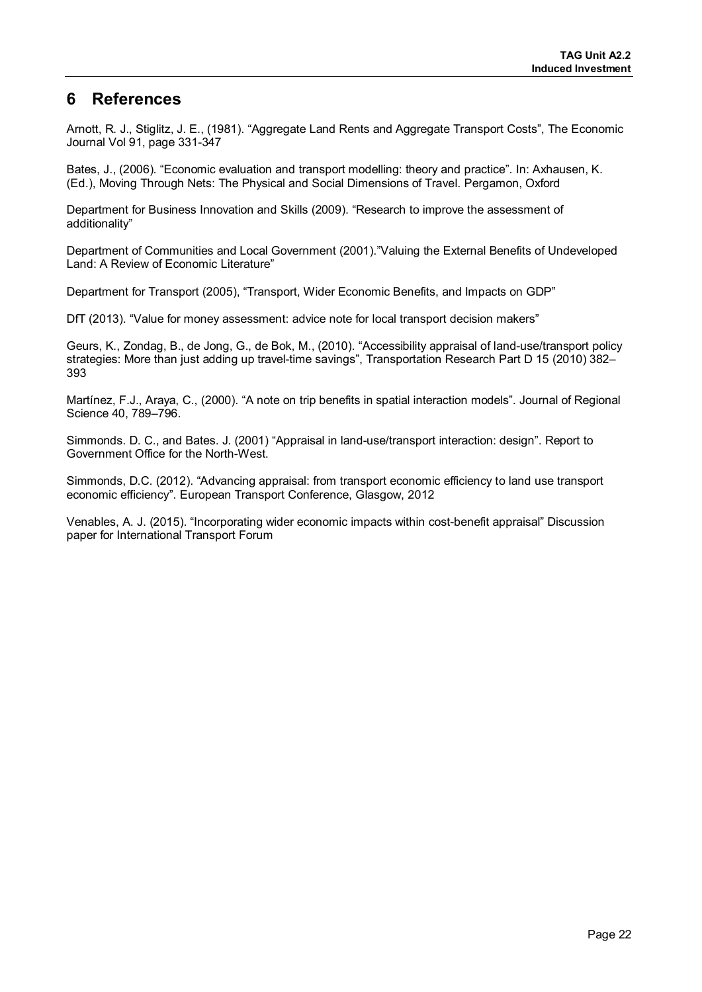# **6 References**

Arnott, R. J., Stiglitz, J. E., (1981). "Aggregate Land Rents and Aggregate Transport Costs", The Economic Journal Vol 91, page 331-347

Bates, J., (2006). "Economic evaluation and transport modelling: theory and practice". In: Axhausen, K. (Ed.), Moving Through Nets: The Physical and Social Dimensions of Travel. Pergamon, Oxford

Department for Business Innovation and Skills (2009). "Research to improve the assessment of additionality"

Department of Communities and Local Government (2001)."Valuing the External Benefits of Undeveloped Land: A Review of Economic Literature"

Department for Transport (2005), "Transport, Wider Economic Benefits, and Impacts on GDP"

DfT (2013). "Value for money assessment: advice note for local transport decision makers"

Geurs, K., Zondag, B., de Jong, G., de Bok, M., (2010). "Accessibility appraisal of land-use/transport policy strategies: More than just adding up travel-time savings", Transportation Research Part D 15 (2010) 382– 393

Martínez, F.J., Araya, C., (2000). "A note on trip benefits in spatial interaction models". Journal of Regional Science 40, 789–796.

Simmonds. D. C., and Bates. J. (2001) "Appraisal in land-use/transport interaction: design". Report to Government Office for the North-West.

Simmonds, D.C. (2012). "Advancing appraisal: from transport economic efficiency to land use transport economic efficiency". European Transport Conference, Glasgow, 2012

Venables, A. J. (2015). "Incorporating wider economic impacts within cost-benefit appraisal" Discussion paper for International Transport Forum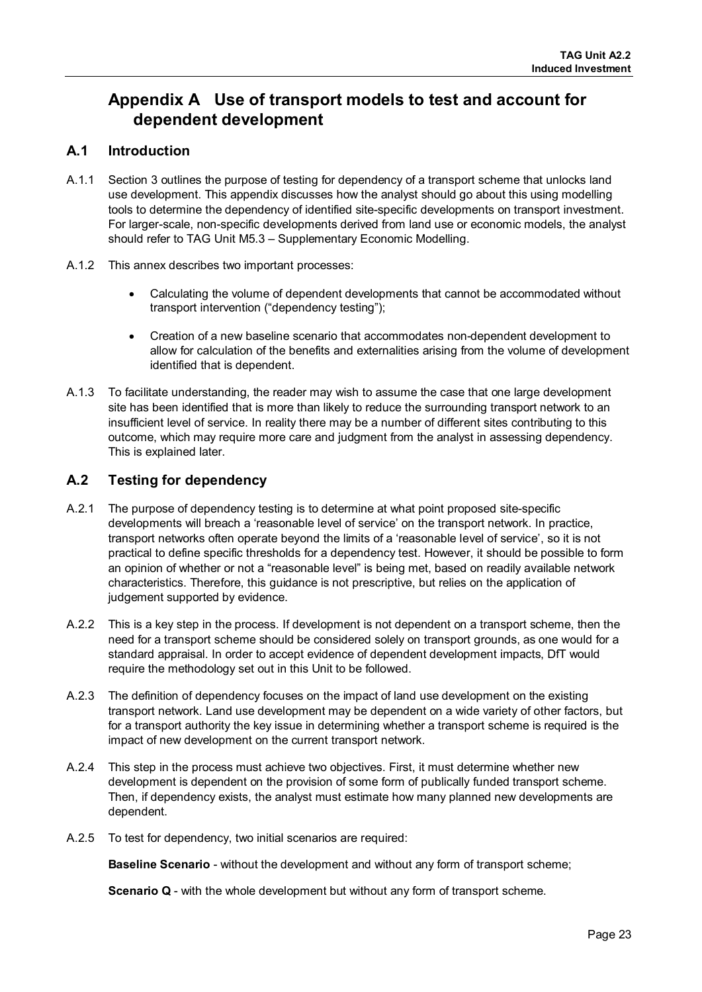# **Appendix A Use of transport models to test and account for dependent development**

# **A.1 Introduction**

- A.1.1 Section 3 outlines the purpose of testing for dependency of a transport scheme that unlocks land use development. This appendix discusses how the analyst should go about this using modelling tools to determine the dependency of identified site-specific developments on transport investment. For larger-scale, non-specific developments derived from land use or economic models, the analyst should refer to TAG Unit M5.3 – Supplementary Economic Modelling.
- A.1.2 This annex describes two important processes:
	- Calculating the volume of dependent developments that cannot be accommodated without transport intervention ("dependency testing");
	- Creation of a new baseline scenario that accommodates non-dependent development to allow for calculation of the benefits and externalities arising from the volume of development identified that is dependent.
- A.1.3 To facilitate understanding, the reader may wish to assume the case that one large development site has been identified that is more than likely to reduce the surrounding transport network to an insufficient level of service. In reality there may be a number of different sites contributing to this outcome, which may require more care and judgment from the analyst in assessing dependency. This is explained later.

# **A.2 Testing for dependency**

- A.2.1 The purpose of dependency testing is to determine at what point proposed site-specific developments will breach a 'reasonable level of service' on the transport network. In practice, transport networks often operate beyond the limits of a 'reasonable level of service', so it is not practical to define specific thresholds for a dependency test. However, it should be possible to form an opinion of whether or not a "reasonable level" is being met, based on readily available network characteristics. Therefore, this guidance is not prescriptive, but relies on the application of judgement supported by evidence.
- A.2.2 This is a key step in the process. If development is not dependent on a transport scheme, then the need for a transport scheme should be considered solely on transport grounds, as one would for a standard appraisal. In order to accept evidence of dependent development impacts, DfT would require the methodology set out in this Unit to be followed.
- A.2.3 The definition of dependency focuses on the impact of land use development on the existing transport network. Land use development may be dependent on a wide variety of other factors, but for a transport authority the key issue in determining whether a transport scheme is required is the impact of new development on the current transport network.
- A.2.4 This step in the process must achieve two objectives. First, it must determine whether new development is dependent on the provision of some form of publically funded transport scheme. Then, if dependency exists, the analyst must estimate how many planned new developments are dependent.
- A.2.5 To test for dependency, two initial scenarios are required:

**Baseline Scenario** - without the development and without any form of transport scheme;

**Scenario Q** - with the whole development but without any form of transport scheme.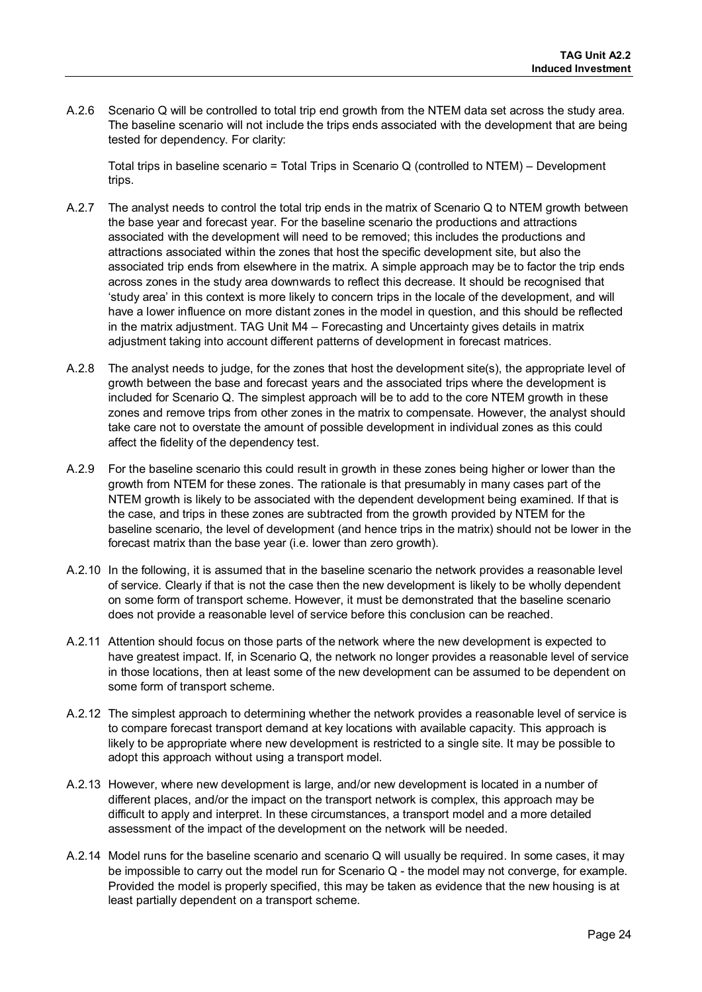A.2.6 Scenario Q will be controlled to total trip end growth from the NTEM data set across the study area. The baseline scenario will not include the trips ends associated with the development that are being tested for dependency. For clarity:

Total trips in baseline scenario = Total Trips in Scenario Q (controlled to NTEM) – Development trips.

- A.2.7 The analyst needs to control the total trip ends in the matrix of Scenario Q to NTEM growth between the base year and forecast year. For the baseline scenario the productions and attractions associated with the development will need to be removed; this includes the productions and attractions associated within the zones that host the specific development site, but also the associated trip ends from elsewhere in the matrix. A simple approach may be to factor the trip ends across zones in the study area downwards to reflect this decrease. It should be recognised that 'study area' in this context is more likely to concern trips in the locale of the development, and will have a lower influence on more distant zones in the model in question, and this should be reflected in the matrix adjustment. TAG Unit M4 – Forecasting and Uncertainty gives details in matrix adjustment taking into account different patterns of development in forecast matrices.
- A.2.8 The analyst needs to judge, for the zones that host the development site(s), the appropriate level of growth between the base and forecast years and the associated trips where the development is included for Scenario Q. The simplest approach will be to add to the core NTEM growth in these zones and remove trips from other zones in the matrix to compensate. However, the analyst should take care not to overstate the amount of possible development in individual zones as this could affect the fidelity of the dependency test.
- A.2.9 For the baseline scenario this could result in growth in these zones being higher or lower than the growth from NTEM for these zones. The rationale is that presumably in many cases part of the NTEM growth is likely to be associated with the dependent development being examined. If that is the case, and trips in these zones are subtracted from the growth provided by NTEM for the baseline scenario, the level of development (and hence trips in the matrix) should not be lower in the forecast matrix than the base year (i.e. lower than zero growth).
- A.2.10 In the following, it is assumed that in the baseline scenario the network provides a reasonable level of service. Clearly if that is not the case then the new development is likely to be wholly dependent on some form of transport scheme. However, it must be demonstrated that the baseline scenario does not provide a reasonable level of service before this conclusion can be reached.
- A.2.11 Attention should focus on those parts of the network where the new development is expected to have greatest impact. If, in Scenario Q, the network no longer provides a reasonable level of service in those locations, then at least some of the new development can be assumed to be dependent on some form of transport scheme.
- A.2.12 The simplest approach to determining whether the network provides a reasonable level of service is to compare forecast transport demand at key locations with available capacity. This approach is likely to be appropriate where new development is restricted to a single site. It may be possible to adopt this approach without using a transport model.
- A.2.13 However, where new development is large, and/or new development is located in a number of different places, and/or the impact on the transport network is complex, this approach may be difficult to apply and interpret. In these circumstances, a transport model and a more detailed assessment of the impact of the development on the network will be needed.
- A.2.14 Model runs for the baseline scenario and scenario Q will usually be required. In some cases, it may be impossible to carry out the model run for Scenario Q - the model may not converge, for example. Provided the model is properly specified, this may be taken as evidence that the new housing is at least partially dependent on a transport scheme.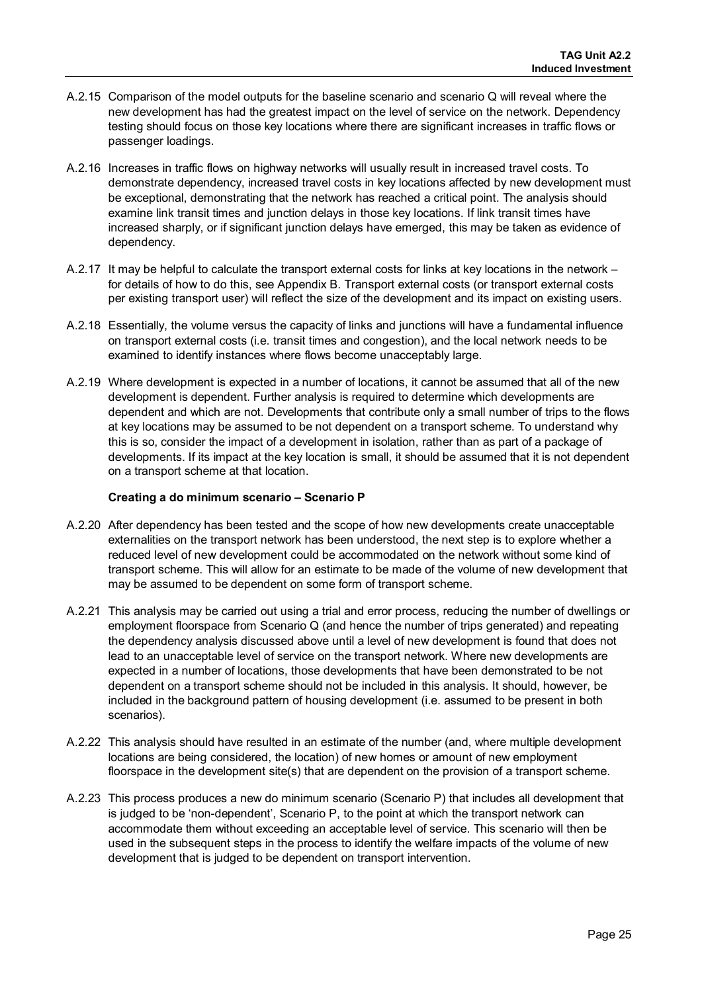- A.2.15 Comparison of the model outputs for the baseline scenario and scenario Q will reveal where the new development has had the greatest impact on the level of service on the network. Dependency testing should focus on those key locations where there are significant increases in traffic flows or passenger loadings.
- A.2.16 Increases in traffic flows on highway networks will usually result in increased travel costs. To demonstrate dependency, increased travel costs in key locations affected by new development must be exceptional, demonstrating that the network has reached a critical point. The analysis should examine link transit times and junction delays in those key locations. If link transit times have increased sharply, or if significant junction delays have emerged, this may be taken as evidence of dependency.
- A.2.17 It may be helpful to calculate the transport external costs for links at key locations in the network for details of how to do this, see Appendix B. Transport external costs (or transport external costs per existing transport user) will reflect the size of the development and its impact on existing users.
- A.2.18 Essentially, the volume versus the capacity of links and junctions will have a fundamental influence on transport external costs (i.e. transit times and congestion), and the local network needs to be examined to identify instances where flows become unacceptably large.
- A.2.19 Where development is expected in a number of locations, it cannot be assumed that all of the new development is dependent. Further analysis is required to determine which developments are dependent and which are not. Developments that contribute only a small number of trips to the flows at key locations may be assumed to be not dependent on a transport scheme. To understand why this is so, consider the impact of a development in isolation, rather than as part of a package of developments. If its impact at the key location is small, it should be assumed that it is not dependent on a transport scheme at that location.

#### **Creating a do minimum scenario – Scenario P**

- A.2.20 After dependency has been tested and the scope of how new developments create unacceptable externalities on the transport network has been understood, the next step is to explore whether a reduced level of new development could be accommodated on the network without some kind of transport scheme. This will allow for an estimate to be made of the volume of new development that may be assumed to be dependent on some form of transport scheme.
- A.2.21 This analysis may be carried out using a trial and error process, reducing the number of dwellings or employment floorspace from Scenario Q (and hence the number of trips generated) and repeating the dependency analysis discussed above until a level of new development is found that does not lead to an unacceptable level of service on the transport network. Where new developments are expected in a number of locations, those developments that have been demonstrated to be not dependent on a transport scheme should not be included in this analysis. It should, however, be included in the background pattern of housing development (i.e. assumed to be present in both scenarios).
- A.2.22 This analysis should have resulted in an estimate of the number (and, where multiple development locations are being considered, the location) of new homes or amount of new employment floorspace in the development site(s) that are dependent on the provision of a transport scheme.
- A.2.23 This process produces a new do minimum scenario (Scenario P) that includes all development that is judged to be 'non-dependent', Scenario P, to the point at which the transport network can accommodate them without exceeding an acceptable level of service. This scenario will then be used in the subsequent steps in the process to identify the welfare impacts of the volume of new development that is judged to be dependent on transport intervention.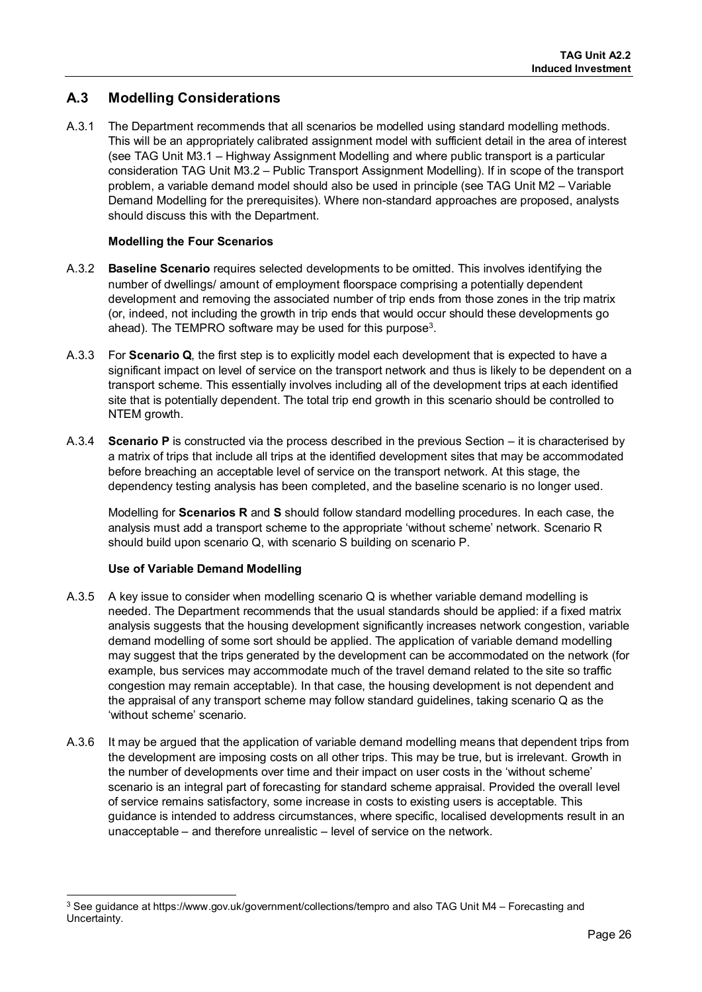# **A.3 Modelling Considerations**

A.3.1 The Department recommends that all scenarios be modelled using standard modelling methods. This will be an appropriately calibrated assignment model with sufficient detail in the area of interest (see TAG Unit M3.1 – Highway Assignment Modelling and where public transport is a particular consideration TAG Unit M3.2 – Public Transport Assignment Modelling). If in scope of the transport problem, a variable demand model should also be used in principle (see TAG Unit M2 – Variable Demand Modelling for the prerequisites). Where non-standard approaches are proposed, analysts should discuss this with the Department.

### **Modelling the Four Scenarios**

- A.3.2 **Baseline Scenario** requires selected developments to be omitted. This involves identifying the number of dwellings/ amount of employment floorspace comprising a potentially dependent development and removing the associated number of trip ends from those zones in the trip matrix (or, indeed, not including the growth in trip ends that would occur should these developments go ahead). The TEMPRO software may be used for this purpose<sup>[3](#page-26-0)</sup>.
- A.3.3 For **Scenario Q**, the first step is to explicitly model each development that is expected to have a significant impact on level of service on the transport network and thus is likely to be dependent on a transport scheme. This essentially involves including all of the development trips at each identified site that is potentially dependent. The total trip end growth in this scenario should be controlled to NTEM growth.
- A.3.4 **Scenario P** is constructed via the process described in the previous Section it is characterised by a matrix of trips that include all trips at the identified development sites that may be accommodated before breaching an acceptable level of service on the transport network. At this stage, the dependency testing analysis has been completed, and the baseline scenario is no longer used.

Modelling for **Scenarios R** and **S** should follow standard modelling procedures. In each case, the analysis must add a transport scheme to the appropriate 'without scheme' network. Scenario R should build upon scenario Q, with scenario S building on scenario P.

### **Use of Variable Demand Modelling**

 $\overline{a}$ 

- A.3.5 A key issue to consider when modelling scenario Q is whether variable demand modelling is needed. The Department recommends that the usual standards should be applied: if a fixed matrix analysis suggests that the housing development significantly increases network congestion, variable demand modelling of some sort should be applied. The application of variable demand modelling may suggest that the trips generated by the development can be accommodated on the network (for example, bus services may accommodate much of the travel demand related to the site so traffic congestion may remain acceptable). In that case, the housing development is not dependent and the appraisal of any transport scheme may follow standard guidelines, taking scenario Q as the 'without scheme' scenario.
- A.3.6 It may be argued that the application of variable demand modelling means that dependent trips from the development are imposing costs on all other trips. This may be true, but is irrelevant. Growth in the number of developments over time and their impact on user costs in the 'without scheme' scenario is an integral part of forecasting for standard scheme appraisal. Provided the overall level of service remains satisfactory, some increase in costs to existing users is acceptable. This guidance is intended to address circumstances, where specific, localised developments result in an unacceptable – and therefore unrealistic – level of service on the network.

<span id="page-26-0"></span><sup>&</sup>lt;sup>3</sup> See guidance at https://www.gov.uk/government/collections/tempro and also TAG Unit M4 – Forecasting and Uncertainty.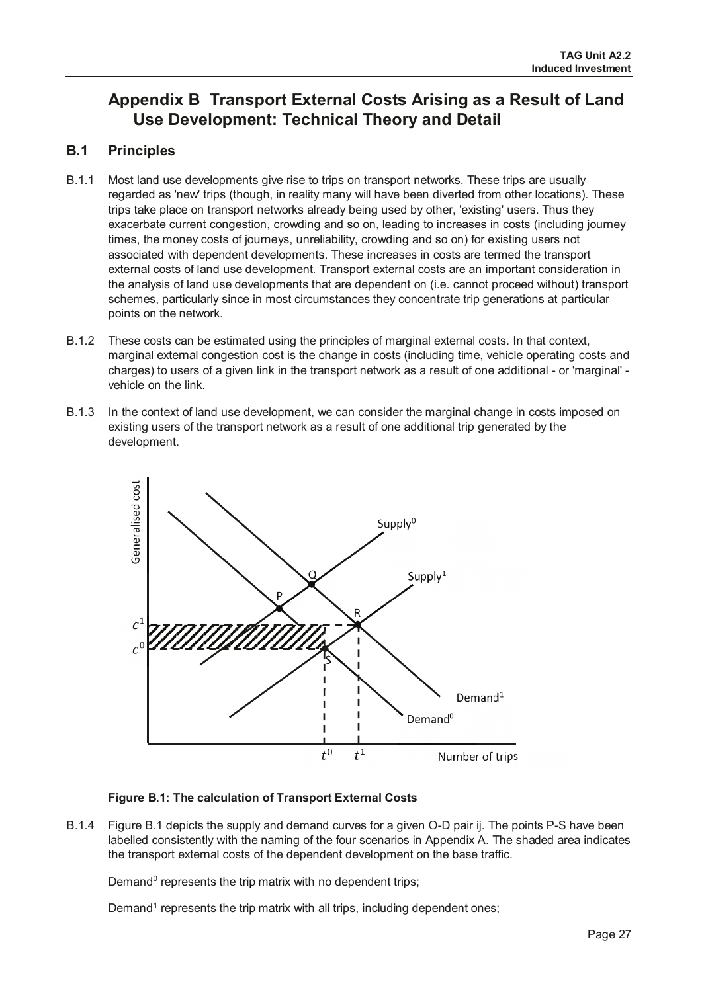# **Appendix B Transport External Costs Arising as a Result of Land Use Development: Technical Theory and Detail**

# **B.1 Principles**

- B.1.1 Most land use developments give rise to trips on transport networks. These trips are usually regarded as 'new' trips (though, in reality many will have been diverted from other locations). These trips take place on transport networks already being used by other, 'existing' users. Thus they exacerbate current congestion, crowding and so on, leading to increases in costs (including journey times, the money costs of journeys, unreliability, crowding and so on) for existing users not associated with dependent developments. These increases in costs are termed the transport external costs of land use development. Transport external costs are an important consideration in the analysis of land use developments that are dependent on (i.e. cannot proceed without) transport schemes, particularly since in most circumstances they concentrate trip generations at particular points on the network.
- B.1.2 These costs can be estimated using the principles of marginal external costs. In that context, marginal external congestion cost is the change in costs (including time, vehicle operating costs and charges) to users of a given link in the transport network as a result of one additional - or 'marginal' vehicle on the link.
- B.1.3 In the context of land use development, we can consider the marginal change in costs imposed on existing users of the transport network as a result of one additional trip generated by the development.



### **Figure B.1: The calculation of Transport External Costs**

B.1.4 Figure B.1 depicts the supply and demand curves for a given O-D pair ij. The points P-S have been labelled consistently with the naming of the four scenarios in Appendix A. The shaded area indicates the transport external costs of the dependent development on the base traffic.

Demand $0$  represents the trip matrix with no dependent trips;

Demand<sup>1</sup> represents the trip matrix with all trips, including dependent ones;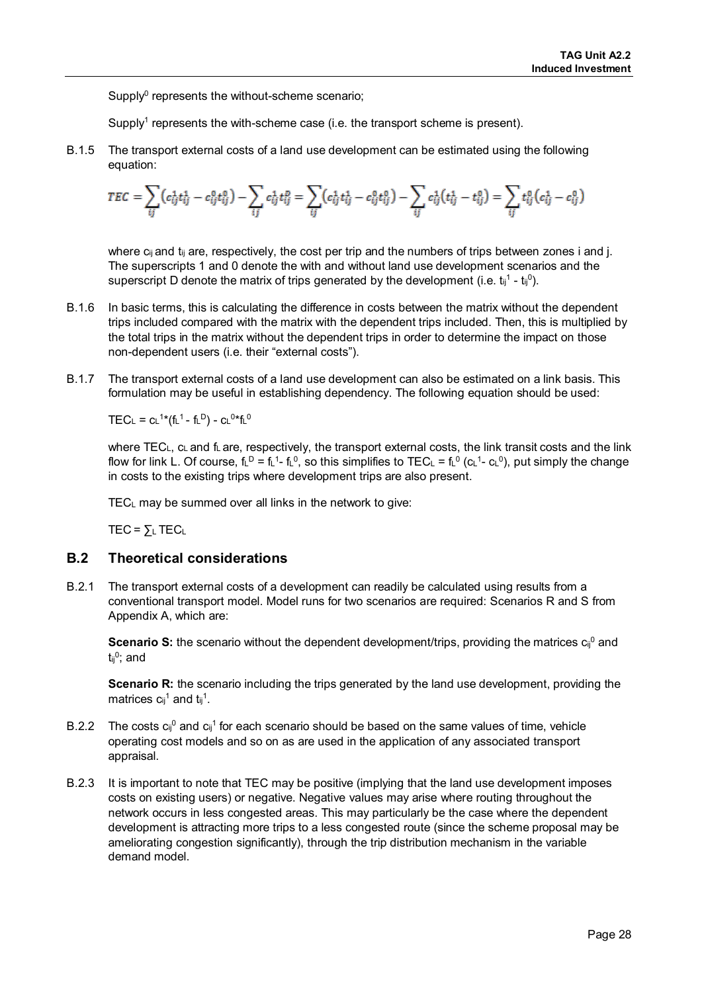Supply $^0$  represents the without-scheme scenario;

Supply<sup>1</sup> represents the with-scheme case (i.e. the transport scheme is present).

B.1.5 The transport external costs of a land use development can be estimated using the following equation:

$$
TEC = \sum_{ij} (c_{ij}^1 t_{ij}^1 - c_{ij}^0 t_{ij}^0) - \sum_{ij} c_{ij}^1 t_{ij}^p = \sum_{ij} (c_{ij}^1 t_{ij}^1 - c_{ij}^0 t_{ij}^0) - \sum_{ij} c_{ij}^1 (t_{ij}^1 - t_{ij}^0) = \sum_{ij} t_{ij}^0 (c_{ij}^1 - c_{ij}^0)
$$

where  $c_{ij}$  and  $t_{ij}$  are, respectively, the cost per trip and the numbers of trips between zones i and j. The superscripts 1 and 0 denote the with and without land use development scenarios and the superscript D denote the matrix of trips generated by the development (i.e.  $t_{ij}^1 - t_{ij}^0$ ).

- B.1.6 In basic terms, this is calculating the difference in costs between the matrix without the dependent trips included compared with the matrix with the dependent trips included. Then, this is multiplied by the total trips in the matrix without the dependent trips in order to determine the impact on those non-dependent users (i.e. their "external costs").
- B.1.7 The transport external costs of a land use development can also be estimated on a link basis. This formulation may be useful in establishing dependency. The following equation should be used:

 $\mathsf{TEC}_{\mathsf{L}} = \mathsf{C}_{\mathsf{L}}^{\mathsf{1}\ast}(\mathsf{f}_{\mathsf{L}}^{\mathsf{1}} \text{-} \mathsf{f}_{\mathsf{L}}^{\mathsf{D}})$  -  $\mathsf{C}_{\mathsf{L}}^{\mathsf{0}\ast} \mathsf{f}_{\mathsf{L}}^{\mathsf{0}}$ 

where  $TEC<sub>L</sub>$ ,  $c<sub>L</sub>$  and  $f<sub>L</sub>$  are, respectively, the transport external costs, the link transit costs and the link flow for link L. Of course, fL<sup>D</sup> = fL<sup>1</sup>- fL<sup>0</sup>, so this simplifies to TEC∟ = fL<sup>0</sup> (c∟<sup>1</sup>- c∟<sup>0</sup>), put simply the change in costs to the existing trips where development trips are also present.

TECL may be summed over all links in the network to give:

 $TEC = \sum L TECL$ 

### **B.2 Theoretical considerations**

B.2.1 The transport external costs of a development can readily be calculated using results from a conventional transport model. Model runs for two scenarios are required: Scenarios R and S from Appendix A, which are:

**Scenario S:** the scenario without the dependent development/trips, providing the matrices  $c_{ij}^0$  and  $t_{ii}$ <sup>0</sup>; and

**Scenario R:** the scenario including the trips generated by the land use development, providing the matrices  $c_{ij}$ <sup>1</sup> and  $t_{ij}$ <sup>1</sup>.

- B.2.2 The costs  $c_{ij}^0$  and  $c_{ij}^1$  for each scenario should be based on the same values of time, vehicle operating cost models and so on as are used in the application of any associated transport appraisal.
- B.2.3 It is important to note that TEC may be positive (implying that the land use development imposes costs on existing users) or negative. Negative values may arise where routing throughout the network occurs in less congested areas. This may particularly be the case where the dependent development is attracting more trips to a less congested route (since the scheme proposal may be ameliorating congestion significantly), through the trip distribution mechanism in the variable demand model.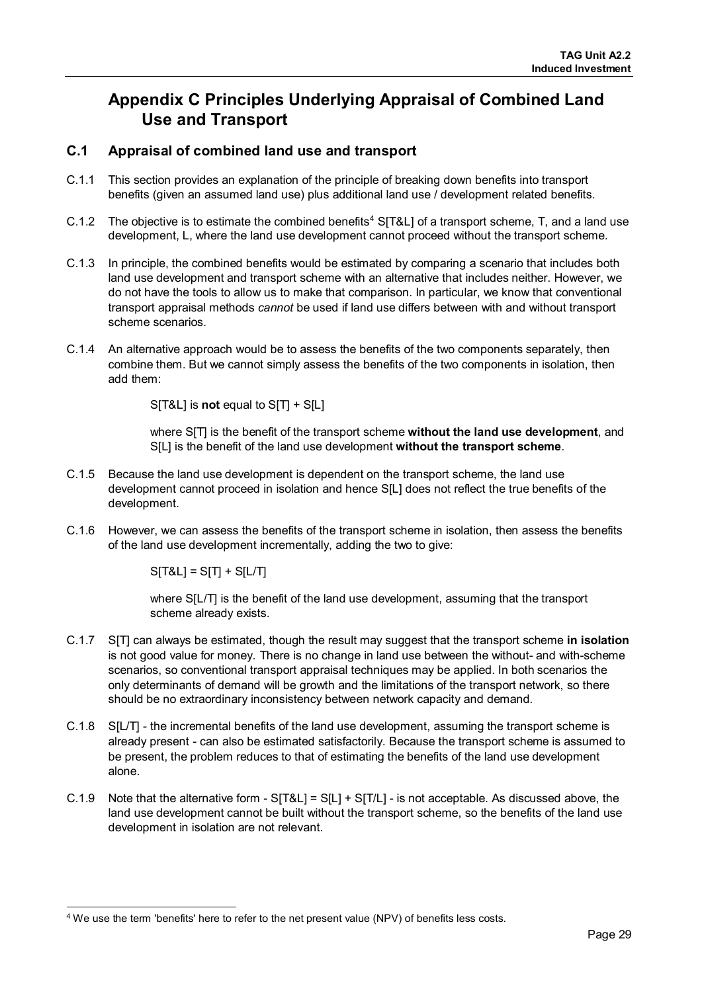# **Appendix C Principles Underlying Appraisal of Combined Land Use and Transport**

# **C.1 Appraisal of combined land use and transport**

- C.1.1 This section provides an explanation of the principle of breaking down benefits into transport benefits (given an assumed land use) plus additional land use / development related benefits.
- C.1.2 The objective is to estimate the combined benefits<sup>[4](#page-29-0)</sup> S[T&L] of a transport scheme, T, and a land use development, L, where the land use development cannot proceed without the transport scheme.
- C.1.3 In principle, the combined benefits would be estimated by comparing a scenario that includes both land use development and transport scheme with an alternative that includes neither. However, we do not have the tools to allow us to make that comparison. In particular, we know that conventional transport appraisal methods *cannot* be used if land use differs between with and without transport scheme scenarios.
- C.1.4 An alternative approach would be to assess the benefits of the two components separately, then combine them. But we cannot simply assess the benefits of the two components in isolation, then add them:

S[T&L] is **not** equal to S[T] + S[L]

where S[T] is the benefit of the transport scheme **without the land use development**, and S[L] is the benefit of the land use development **without the transport scheme**.

- C.1.5 Because the land use development is dependent on the transport scheme, the land use development cannot proceed in isolation and hence S[L] does not reflect the true benefits of the development.
- C.1.6 However, we can assess the benefits of the transport scheme in isolation, then assess the benefits of the land use development incrementally, adding the two to give:

 $S[T&L] = S[T] + S[L/T]$ 

where S[L/T] is the benefit of the land use development, assuming that the transport scheme already exists.

- C.1.7 S[T] can always be estimated, though the result may suggest that the transport scheme **in isolation** is not good value for money. There is no change in land use between the without- and with-scheme scenarios, so conventional transport appraisal techniques may be applied. In both scenarios the only determinants of demand will be growth and the limitations of the transport network, so there should be no extraordinary inconsistency between network capacity and demand.
- C.1.8 S[L/T] the incremental benefits of the land use development, assuming the transport scheme is already present - can also be estimated satisfactorily. Because the transport scheme is assumed to be present, the problem reduces to that of estimating the benefits of the land use development alone.
- C.1.9 Note that the alternative form  $S[T&L] = S[L] + S[T/L]$  is not acceptable. As discussed above, the land use development cannot be built without the transport scheme, so the benefits of the land use development in isolation are not relevant.

<span id="page-29-0"></span> $\overline{a}$ <sup>4</sup> We use the term 'benefits' here to refer to the net present value (NPV) of benefits less costs.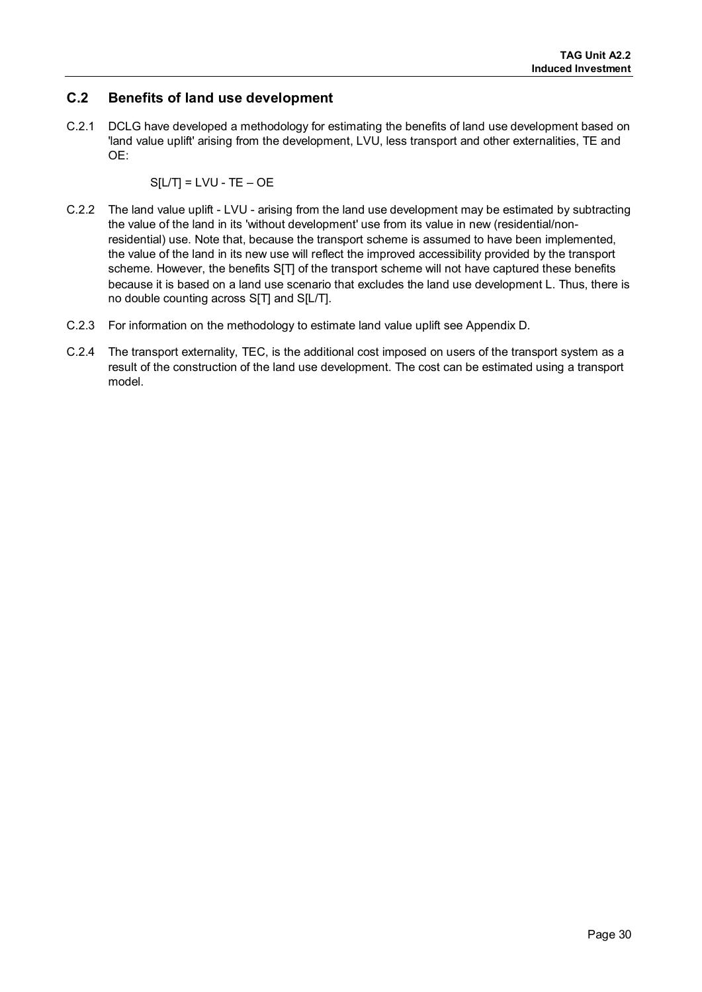# **C.2 Benefits of land use development**

C.2.1 DCLG have developed a methodology for estimating the benefits of land use development based on 'land value uplift' arising from the development, LVU, less transport and other externalities, TE and OE:

$$
S[LT] = LVU - TE - OE
$$

- C.2.2 The land value uplift LVU arising from the land use development may be estimated by subtracting the value of the land in its 'without development' use from its value in new (residential/nonresidential) use. Note that, because the transport scheme is assumed to have been implemented, the value of the land in its new use will reflect the improved accessibility provided by the transport scheme. However, the benefits S[T] of the transport scheme will not have captured these benefits because it is based on a land use scenario that excludes the land use development L. Thus, there is no double counting across S[T] and S[L/T].
- C.2.3 For information on the methodology to estimate land value uplift see Appendix D.
- C.2.4 The transport externality, TEC, is the additional cost imposed on users of the transport system as a result of the construction of the land use development. The cost can be estimated using a transport model.